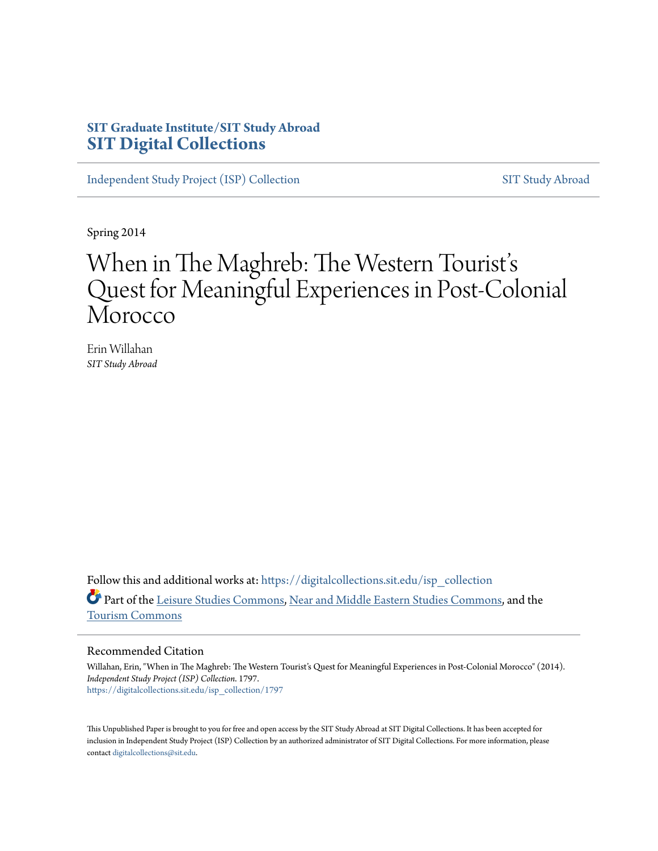## **SIT Graduate Institute/SIT Study Abroad [SIT Digital Collections](https://digitalcollections.sit.edu?utm_source=digitalcollections.sit.edu%2Fisp_collection%2F1797&utm_medium=PDF&utm_campaign=PDFCoverPages)**

[Independent Study Project \(ISP\) Collection](https://digitalcollections.sit.edu/isp_collection?utm_source=digitalcollections.sit.edu%2Fisp_collection%2F1797&utm_medium=PDF&utm_campaign=PDFCoverPages) [SIT Study Abroad](https://digitalcollections.sit.edu/study_abroad?utm_source=digitalcollections.sit.edu%2Fisp_collection%2F1797&utm_medium=PDF&utm_campaign=PDFCoverPages)

Spring 2014

## When in The Maghreb: The Western Tourist' s Quest for Meaningful Experiences in Post-Colonial Morocco

Erin Willahan *SIT Study Abroad*

Follow this and additional works at: [https://digitalcollections.sit.edu/isp\\_collection](https://digitalcollections.sit.edu/isp_collection?utm_source=digitalcollections.sit.edu%2Fisp_collection%2F1797&utm_medium=PDF&utm_campaign=PDFCoverPages) Part of the [Leisure Studies Commons,](http://network.bepress.com/hgg/discipline/1197?utm_source=digitalcollections.sit.edu%2Fisp_collection%2F1797&utm_medium=PDF&utm_campaign=PDFCoverPages) [Near and Middle Eastern Studies Commons](http://network.bepress.com/hgg/discipline/1308?utm_source=digitalcollections.sit.edu%2Fisp_collection%2F1797&utm_medium=PDF&utm_campaign=PDFCoverPages), and the [Tourism Commons](http://network.bepress.com/hgg/discipline/1022?utm_source=digitalcollections.sit.edu%2Fisp_collection%2F1797&utm_medium=PDF&utm_campaign=PDFCoverPages)

### Recommended Citation

Willahan, Erin, "When in The Maghreb: The Western Tourist's Quest for Meaningful Experiences in Post-Colonial Morocco" (2014). *Independent Study Project (ISP) Collection*. 1797. [https://digitalcollections.sit.edu/isp\\_collection/1797](https://digitalcollections.sit.edu/isp_collection/1797?utm_source=digitalcollections.sit.edu%2Fisp_collection%2F1797&utm_medium=PDF&utm_campaign=PDFCoverPages)

This Unpublished Paper is brought to you for free and open access by the SIT Study Abroad at SIT Digital Collections. It has been accepted for inclusion in Independent Study Project (ISP) Collection by an authorized administrator of SIT Digital Collections. For more information, please contact [digitalcollections@sit.edu](mailto:digitalcollections@sit.edu).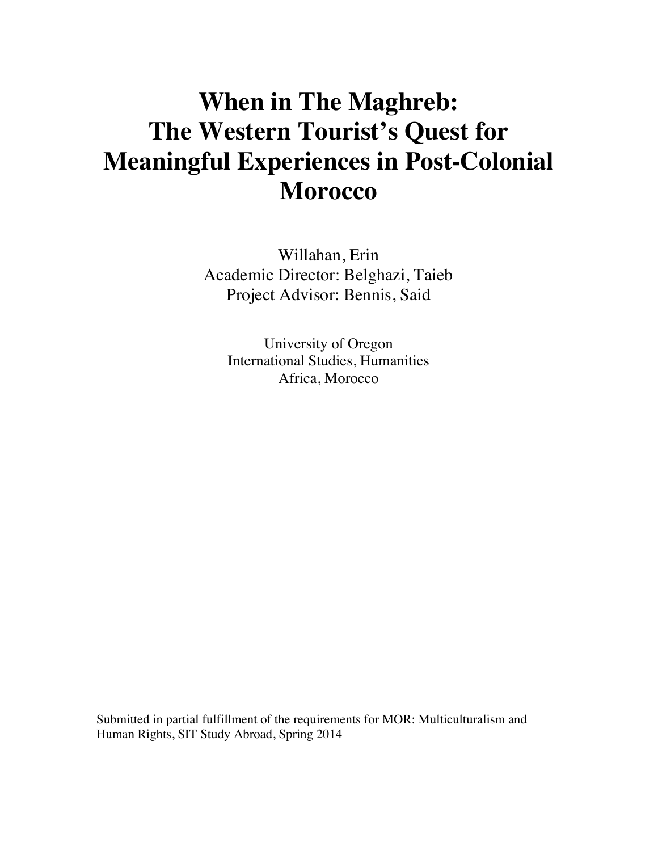# **When in The Maghreb: The Western Tourist's Quest for Meaningful Experiences in Post-Colonial Morocco**

Willahan, Erin Academic Director: Belghazi, Taieb Project Advisor: Bennis, Said

University of Oregon International Studies, Humanities Africa, Morocco

Submitted in partial fulfillment of the requirements for MOR: Multiculturalism and Human Rights, SIT Study Abroad, Spring 2014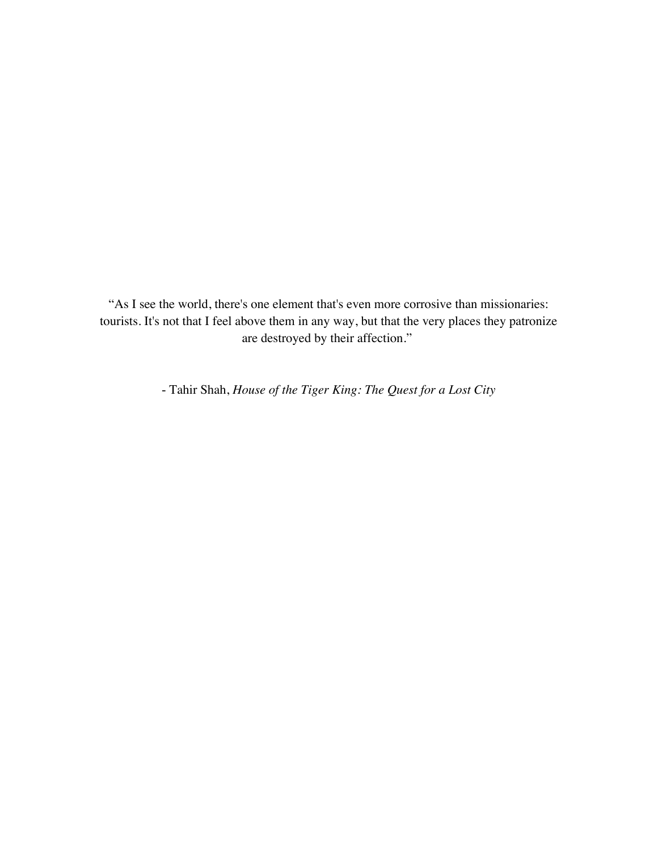"As I see the world, there's one element that's even more corrosive than missionaries: tourists. It's not that I feel above them in any way, but that the very places they patronize are destroyed by their affection."

- Tahir Shah, *House of the Tiger King: The Quest for a Lost City*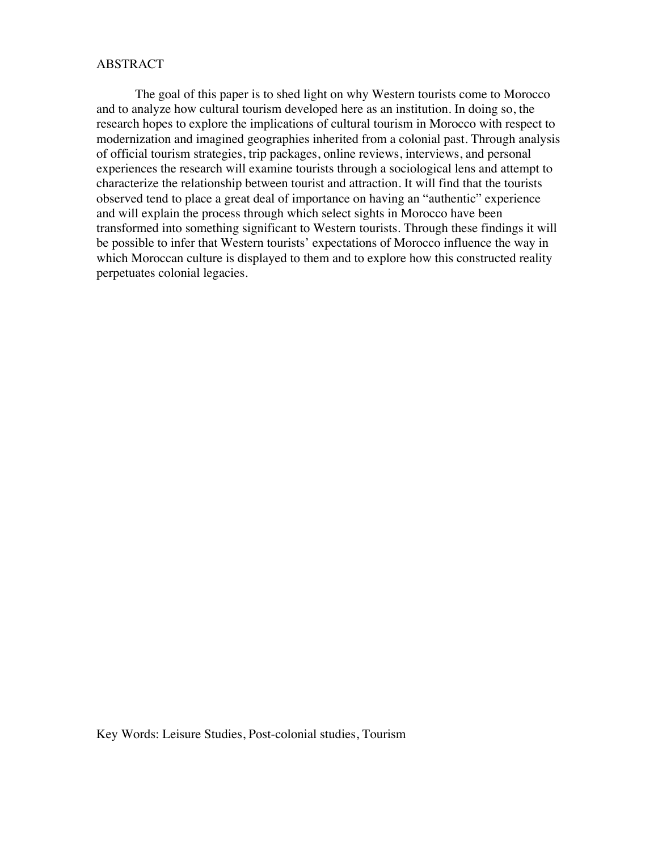## ABSTRACT

The goal of this paper is to shed light on why Western tourists come to Morocco and to analyze how cultural tourism developed here as an institution. In doing so, the research hopes to explore the implications of cultural tourism in Morocco with respect to modernization and imagined geographies inherited from a colonial past. Through analysis of official tourism strategies, trip packages, online reviews, interviews, and personal experiences the research will examine tourists through a sociological lens and attempt to characterize the relationship between tourist and attraction. It will find that the tourists observed tend to place a great deal of importance on having an "authentic" experience and will explain the process through which select sights in Morocco have been transformed into something significant to Western tourists. Through these findings it will be possible to infer that Western tourists' expectations of Morocco influence the way in which Moroccan culture is displayed to them and to explore how this constructed reality perpetuates colonial legacies.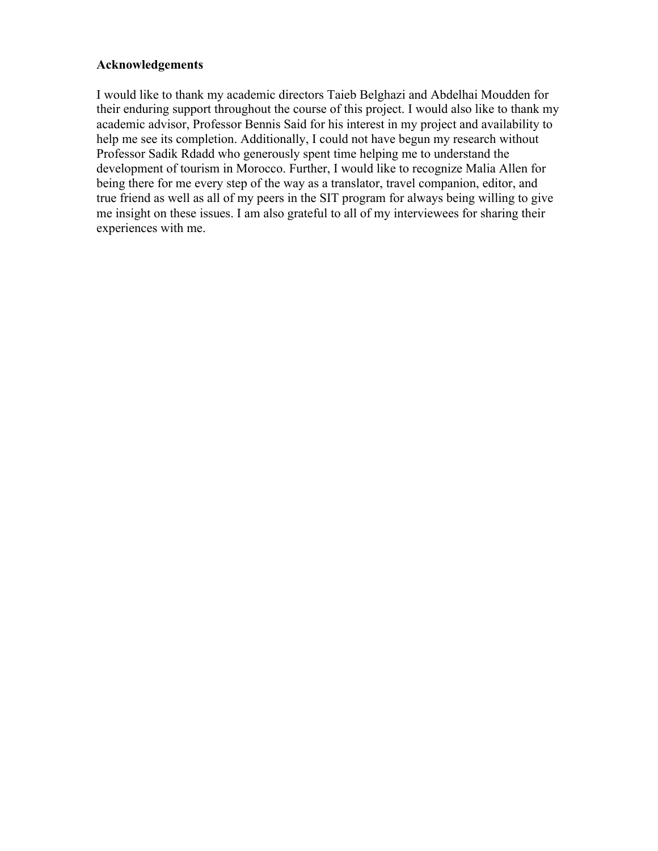## **Acknowledgements**

I would like to thank my academic directors Taieb Belghazi and Abdelhai Moudden for their enduring support throughout the course of this project. I would also like to thank my academic advisor, Professor Bennis Said for his interest in my project and availability to help me see its completion. Additionally, I could not have begun my research without Professor Sadik Rdadd who generously spent time helping me to understand the development of tourism in Morocco. Further, I would like to recognize Malia Allen for being there for me every step of the way as a translator, travel companion, editor, and true friend as well as all of my peers in the SIT program for always being willing to give me insight on these issues. I am also grateful to all of my interviewees for sharing their experiences with me.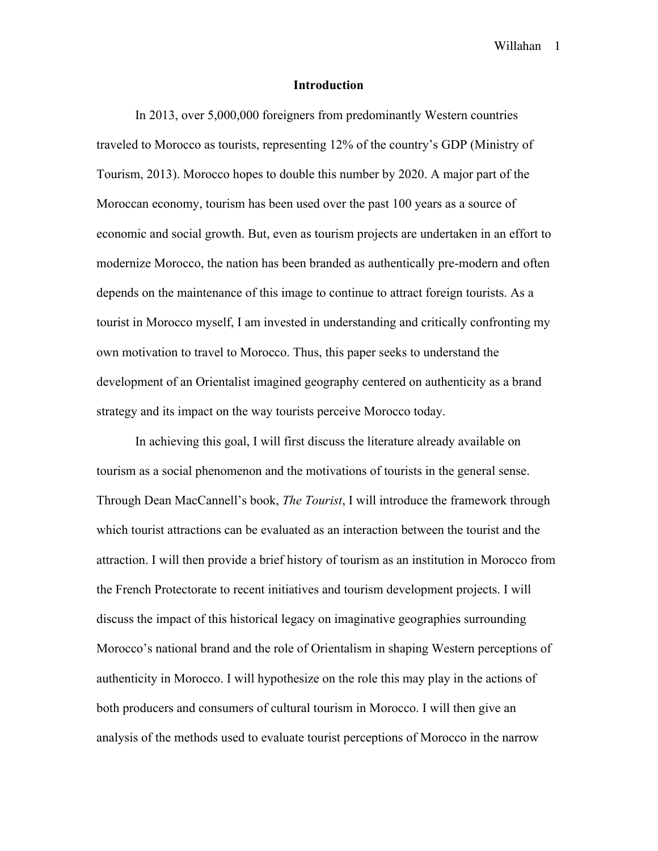## **Introduction**

In 2013, over 5,000,000 foreigners from predominantly Western countries traveled to Morocco as tourists, representing 12% of the country's GDP (Ministry of Tourism, 2013). Morocco hopes to double this number by 2020. A major part of the Moroccan economy, tourism has been used over the past 100 years as a source of economic and social growth. But, even as tourism projects are undertaken in an effort to modernize Morocco, the nation has been branded as authentically pre-modern and often depends on the maintenance of this image to continue to attract foreign tourists. As a tourist in Morocco myself, I am invested in understanding and critically confronting my own motivation to travel to Morocco. Thus, this paper seeks to understand the development of an Orientalist imagined geography centered on authenticity as a brand strategy and its impact on the way tourists perceive Morocco today.

In achieving this goal, I will first discuss the literature already available on tourism as a social phenomenon and the motivations of tourists in the general sense. Through Dean MacCannell's book, *The Tourist*, I will introduce the framework through which tourist attractions can be evaluated as an interaction between the tourist and the attraction. I will then provide a brief history of tourism as an institution in Morocco from the French Protectorate to recent initiatives and tourism development projects. I will discuss the impact of this historical legacy on imaginative geographies surrounding Morocco's national brand and the role of Orientalism in shaping Western perceptions of authenticity in Morocco. I will hypothesize on the role this may play in the actions of both producers and consumers of cultural tourism in Morocco. I will then give an analysis of the methods used to evaluate tourist perceptions of Morocco in the narrow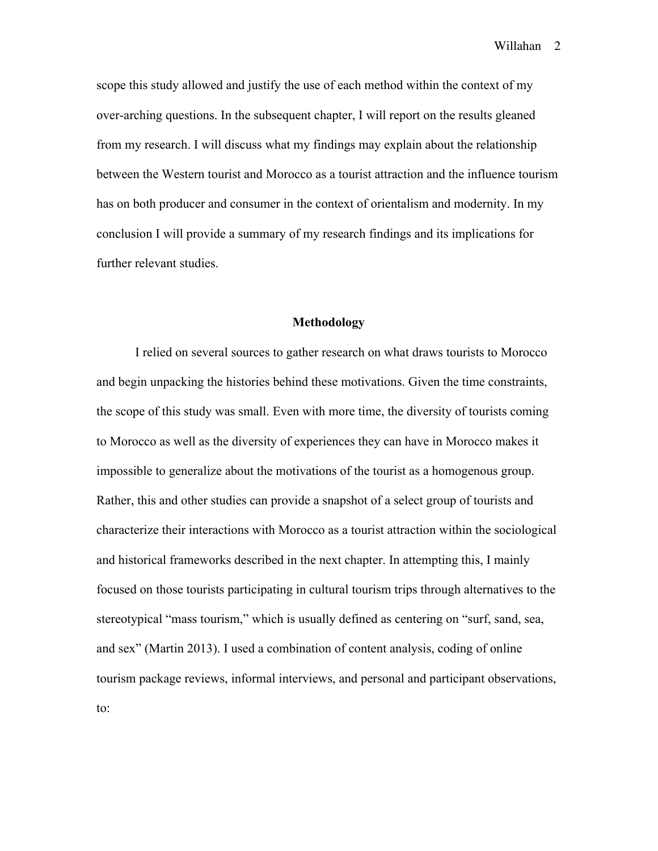scope this study allowed and justify the use of each method within the context of my over-arching questions. In the subsequent chapter, I will report on the results gleaned from my research. I will discuss what my findings may explain about the relationship between the Western tourist and Morocco as a tourist attraction and the influence tourism has on both producer and consumer in the context of orientalism and modernity. In my conclusion I will provide a summary of my research findings and its implications for further relevant studies.

## **Methodology**

I relied on several sources to gather research on what draws tourists to Morocco and begin unpacking the histories behind these motivations. Given the time constraints, the scope of this study was small. Even with more time, the diversity of tourists coming to Morocco as well as the diversity of experiences they can have in Morocco makes it impossible to generalize about the motivations of the tourist as a homogenous group. Rather, this and other studies can provide a snapshot of a select group of tourists and characterize their interactions with Morocco as a tourist attraction within the sociological and historical frameworks described in the next chapter. In attempting this, I mainly focused on those tourists participating in cultural tourism trips through alternatives to the stereotypical "mass tourism," which is usually defined as centering on "surf, sand, sea, and sex" (Martin 2013). I used a combination of content analysis, coding of online tourism package reviews, informal interviews, and personal and participant observations, to: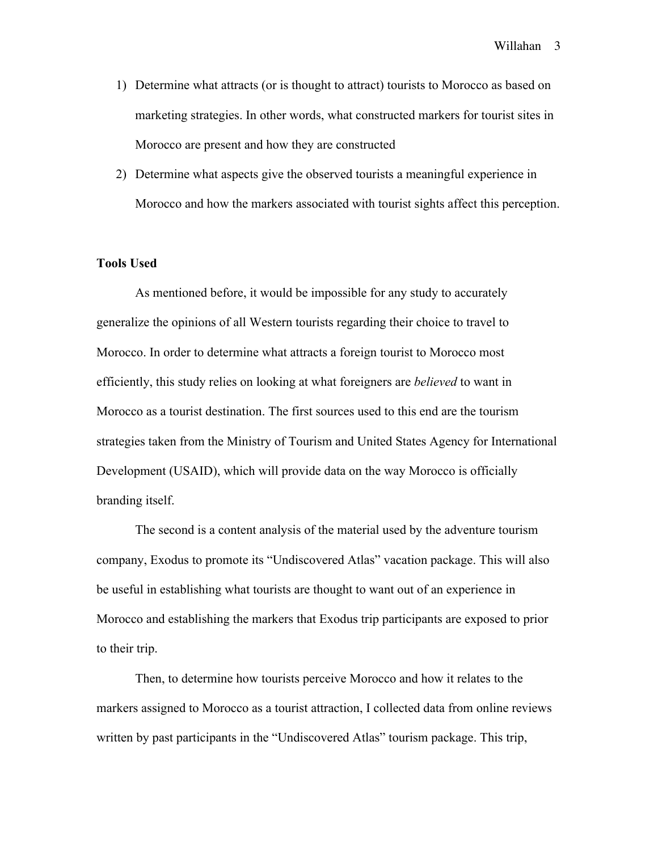- 1) Determine what attracts (or is thought to attract) tourists to Morocco as based on marketing strategies. In other words, what constructed markers for tourist sites in Morocco are present and how they are constructed
- 2) Determine what aspects give the observed tourists a meaningful experience in Morocco and how the markers associated with tourist sights affect this perception.

## **Tools Used**

As mentioned before, it would be impossible for any study to accurately generalize the opinions of all Western tourists regarding their choice to travel to Morocco. In order to determine what attracts a foreign tourist to Morocco most efficiently, this study relies on looking at what foreigners are *believed* to want in Morocco as a tourist destination. The first sources used to this end are the tourism strategies taken from the Ministry of Tourism and United States Agency for International Development (USAID), which will provide data on the way Morocco is officially branding itself.

The second is a content analysis of the material used by the adventure tourism company, Exodus to promote its "Undiscovered Atlas" vacation package. This will also be useful in establishing what tourists are thought to want out of an experience in Morocco and establishing the markers that Exodus trip participants are exposed to prior to their trip.

Then, to determine how tourists perceive Morocco and how it relates to the markers assigned to Morocco as a tourist attraction, I collected data from online reviews written by past participants in the "Undiscovered Atlas" tourism package. This trip,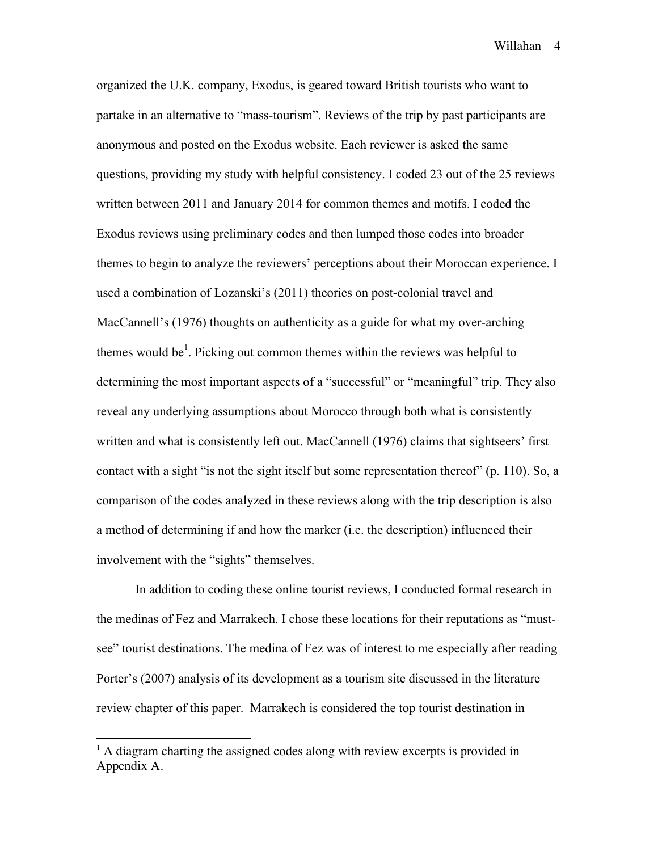organized the U.K. company, Exodus, is geared toward British tourists who want to partake in an alternative to "mass-tourism". Reviews of the trip by past participants are anonymous and posted on the Exodus website. Each reviewer is asked the same questions, providing my study with helpful consistency. I coded 23 out of the 25 reviews written between 2011 and January 2014 for common themes and motifs. I coded the Exodus reviews using preliminary codes and then lumped those codes into broader themes to begin to analyze the reviewers' perceptions about their Moroccan experience. I used a combination of Lozanski's (2011) theories on post-colonial travel and MacCannell's (1976) thoughts on authenticity as a guide for what my over-arching themes would be<sup>1</sup>. Picking out common themes within the reviews was helpful to determining the most important aspects of a "successful" or "meaningful" trip. They also reveal any underlying assumptions about Morocco through both what is consistently written and what is consistently left out. MacCannell (1976) claims that sightseers' first contact with a sight "is not the sight itself but some representation thereof" (p. 110). So, a comparison of the codes analyzed in these reviews along with the trip description is also a method of determining if and how the marker (i.e. the description) influenced their involvement with the "sights" themselves.

In addition to coding these online tourist reviews, I conducted formal research in the medinas of Fez and Marrakech. I chose these locations for their reputations as "mustsee" tourist destinations. The medina of Fez was of interest to me especially after reading Porter's (2007) analysis of its development as a tourism site discussed in the literature review chapter of this paper. Marrakech is considered the top tourist destination in

!!!!!!!!!!!!!!!!!!!!!!!!!!!!!!!!!!!!!!!!!!!!!!!!!!!!!!!

 $<sup>1</sup>$  A diagram charting the assigned codes along with review excerpts is provided in</sup> Appendix A.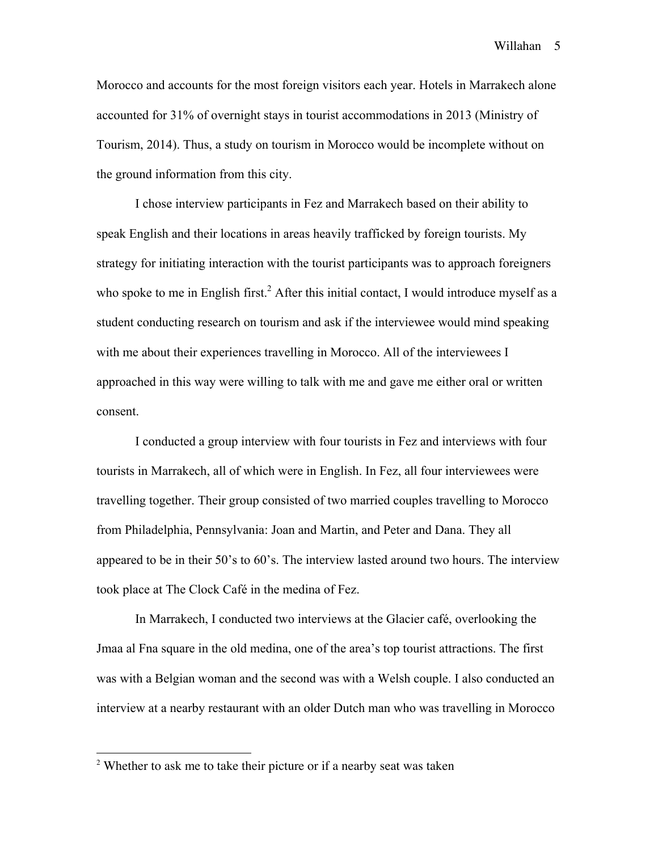Morocco and accounts for the most foreign visitors each year. Hotels in Marrakech alone accounted for 31% of overnight stays in tourist accommodations in 2013 (Ministry of Tourism, 2014). Thus, a study on tourism in Morocco would be incomplete without on the ground information from this city.

I chose interview participants in Fez and Marrakech based on their ability to speak English and their locations in areas heavily trafficked by foreign tourists. My strategy for initiating interaction with the tourist participants was to approach foreigners who spoke to me in English first.<sup>2</sup> After this initial contact, I would introduce myself as a student conducting research on tourism and ask if the interviewee would mind speaking with me about their experiences travelling in Morocco. All of the interviewees I approached in this way were willing to talk with me and gave me either oral or written consent.

I conducted a group interview with four tourists in Fez and interviews with four tourists in Marrakech, all of which were in English. In Fez, all four interviewees were travelling together. Their group consisted of two married couples travelling to Morocco from Philadelphia, Pennsylvania: Joan and Martin, and Peter and Dana. They all appeared to be in their 50's to 60's. The interview lasted around two hours. The interview took place at The Clock Café in the medina of Fez.

In Marrakech, I conducted two interviews at the Glacier café, overlooking the Jmaa al Fna square in the old medina, one of the area's top tourist attractions. The first was with a Belgian woman and the second was with a Welsh couple. I also conducted an interview at a nearby restaurant with an older Dutch man who was travelling in Morocco

!!!!!!!!!!!!!!!!!!!!!!!!!!!!!!!!!!!!!!!!!!!!!!!!!!!!!!!

 $2$ <sup>2</sup> Whether to ask me to take their picture or if a nearby seat was taken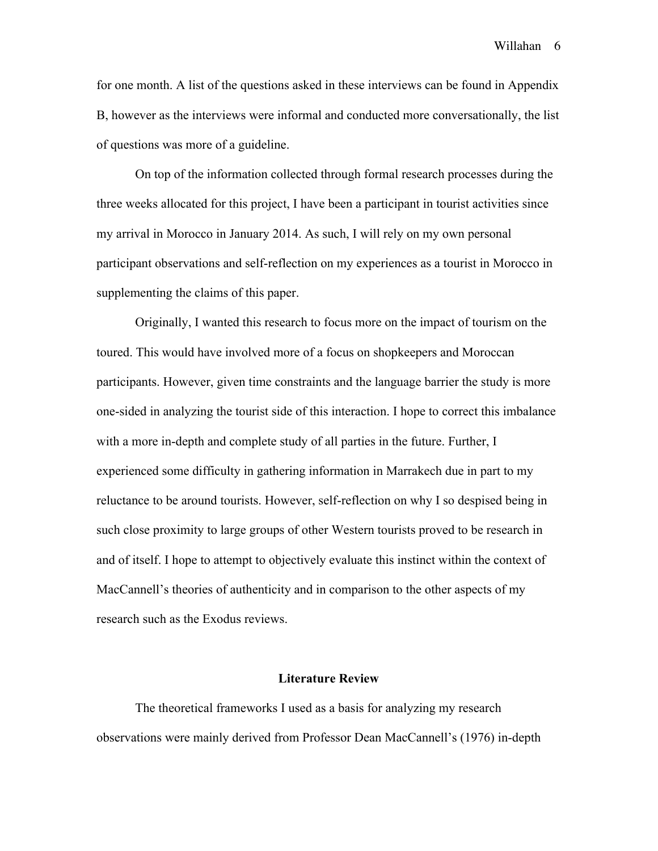for one month. A list of the questions asked in these interviews can be found in Appendix B, however as the interviews were informal and conducted more conversationally, the list of questions was more of a guideline.

On top of the information collected through formal research processes during the three weeks allocated for this project, I have been a participant in tourist activities since my arrival in Morocco in January 2014. As such, I will rely on my own personal participant observations and self-reflection on my experiences as a tourist in Morocco in supplementing the claims of this paper.

Originally, I wanted this research to focus more on the impact of tourism on the toured. This would have involved more of a focus on shopkeepers and Moroccan participants. However, given time constraints and the language barrier the study is more one-sided in analyzing the tourist side of this interaction. I hope to correct this imbalance with a more in-depth and complete study of all parties in the future. Further, I experienced some difficulty in gathering information in Marrakech due in part to my reluctance to be around tourists. However, self-reflection on why I so despised being in such close proximity to large groups of other Western tourists proved to be research in and of itself. I hope to attempt to objectively evaluate this instinct within the context of MacCannell's theories of authenticity and in comparison to the other aspects of my research such as the Exodus reviews.

### **Literature Review**

The theoretical frameworks I used as a basis for analyzing my research observations were mainly derived from Professor Dean MacCannell's (1976) in-depth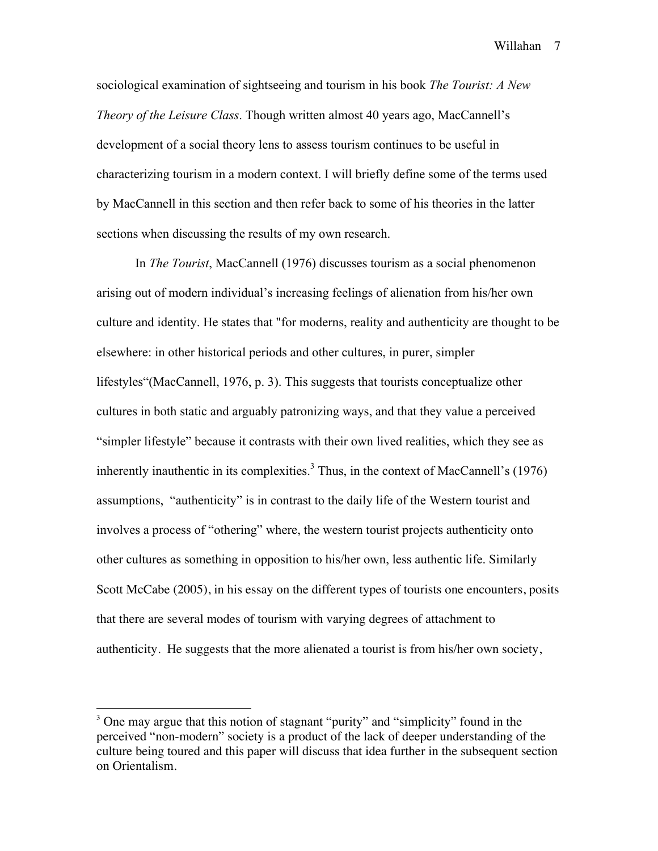sociological examination of sightseeing and tourism in his book *The Tourist: A New Theory of the Leisure Class*. Though written almost 40 years ago, MacCannell's development of a social theory lens to assess tourism continues to be useful in characterizing tourism in a modern context. I will briefly define some of the terms used by MacCannell in this section and then refer back to some of his theories in the latter sections when discussing the results of my own research.

In *The Tourist*, MacCannell (1976) discusses tourism as a social phenomenon arising out of modern individual's increasing feelings of alienation from his/her own culture and identity. He states that "for moderns, reality and authenticity are thought to be elsewhere: in other historical periods and other cultures, in purer, simpler lifestyles"(MacCannell, 1976, p. 3). This suggests that tourists conceptualize other cultures in both static and arguably patronizing ways, and that they value a perceived "simpler lifestyle" because it contrasts with their own lived realities, which they see as inherently inauthentic in its complexities.<sup>3</sup> Thus, in the context of MacCannell's (1976) assumptions, "authenticity" is in contrast to the daily life of the Western tourist and involves a process of "othering" where, the western tourist projects authenticity onto other cultures as something in opposition to his/her own, less authentic life. Similarly Scott McCabe (2005), in his essay on the different types of tourists one encounters, posits that there are several modes of tourism with varying degrees of attachment to authenticity. He suggests that the more alienated a tourist is from his/her own society,

!!!!!!!!!!!!!!!!!!!!!!!!!!!!!!!!!!!!!!!!!!!!!!!!!!!!!!!

 $3$  One may argue that this notion of stagnant "purity" and "simplicity" found in the perceived "non-modern" society is a product of the lack of deeper understanding of the culture being toured and this paper will discuss that idea further in the subsequent section on Orientalism.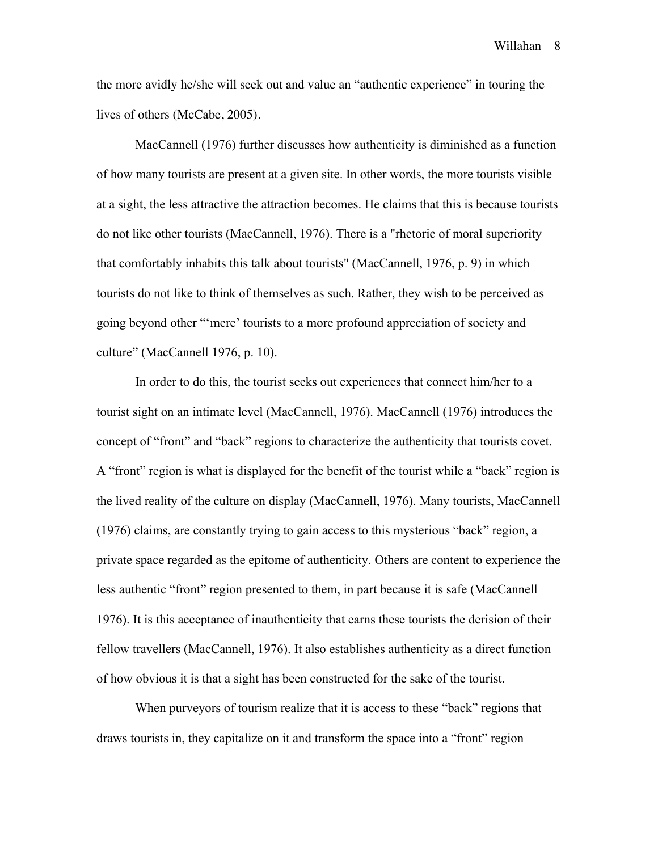the more avidly he/she will seek out and value an "authentic experience" in touring the lives of others (McCabe, 2005).

MacCannell (1976) further discusses how authenticity is diminished as a function of how many tourists are present at a given site. In other words, the more tourists visible at a sight, the less attractive the attraction becomes. He claims that this is because tourists do not like other tourists (MacCannell, 1976). There is a "rhetoric of moral superiority that comfortably inhabits this talk about tourists" (MacCannell, 1976, p. 9) in which tourists do not like to think of themselves as such. Rather, they wish to be perceived as going beyond other "'mere' tourists to a more profound appreciation of society and culture" (MacCannell 1976, p. 10).

In order to do this, the tourist seeks out experiences that connect him/her to a tourist sight on an intimate level (MacCannell, 1976). MacCannell (1976) introduces the concept of "front" and "back" regions to characterize the authenticity that tourists covet. A "front" region is what is displayed for the benefit of the tourist while a "back" region is the lived reality of the culture on display (MacCannell, 1976). Many tourists, MacCannell (1976) claims, are constantly trying to gain access to this mysterious "back" region, a private space regarded as the epitome of authenticity. Others are content to experience the less authentic "front" region presented to them, in part because it is safe (MacCannell 1976). It is this acceptance of inauthenticity that earns these tourists the derision of their fellow travellers (MacCannell, 1976). It also establishes authenticity as a direct function of how obvious it is that a sight has been constructed for the sake of the tourist.

When purveyors of tourism realize that it is access to these "back" regions that draws tourists in, they capitalize on it and transform the space into a "front" region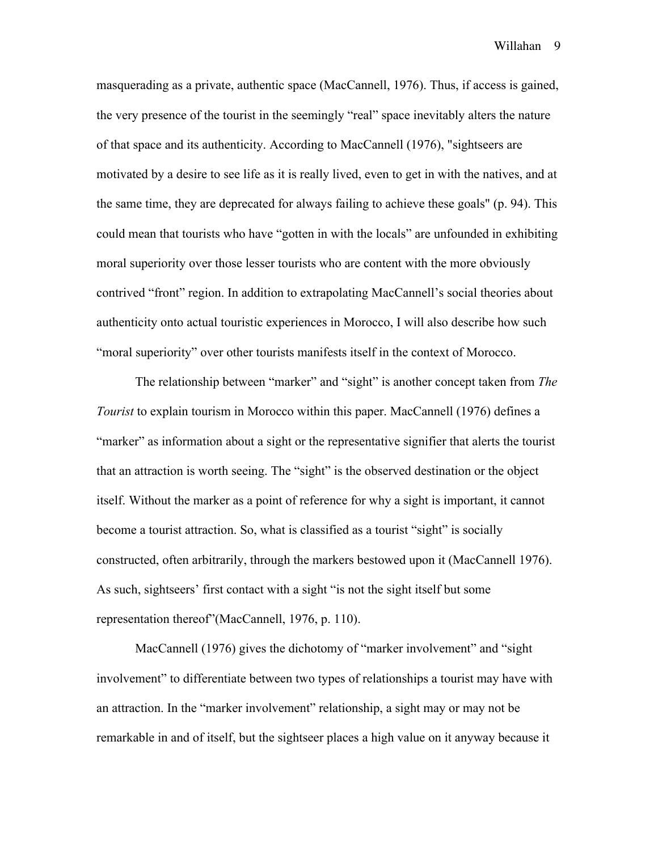masquerading as a private, authentic space (MacCannell, 1976). Thus, if access is gained, the very presence of the tourist in the seemingly "real" space inevitably alters the nature of that space and its authenticity. According to MacCannell (1976), "sightseers are motivated by a desire to see life as it is really lived, even to get in with the natives, and at the same time, they are deprecated for always failing to achieve these goals" (p. 94). This could mean that tourists who have "gotten in with the locals" are unfounded in exhibiting moral superiority over those lesser tourists who are content with the more obviously contrived "front" region. In addition to extrapolating MacCannell's social theories about authenticity onto actual touristic experiences in Morocco, I will also describe how such "moral superiority" over other tourists manifests itself in the context of Morocco.

The relationship between "marker" and "sight" is another concept taken from *The Tourist* to explain tourism in Morocco within this paper. MacCannell (1976) defines a "marker" as information about a sight or the representative signifier that alerts the tourist that an attraction is worth seeing. The "sight" is the observed destination or the object itself. Without the marker as a point of reference for why a sight is important, it cannot become a tourist attraction. So, what is classified as a tourist "sight" is socially constructed, often arbitrarily, through the markers bestowed upon it (MacCannell 1976). As such, sightseers' first contact with a sight "is not the sight itself but some representation thereof"(MacCannell, 1976, p. 110).

MacCannell (1976) gives the dichotomy of "marker involvement" and "sight" involvement" to differentiate between two types of relationships a tourist may have with an attraction. In the "marker involvement" relationship, a sight may or may not be remarkable in and of itself, but the sightseer places a high value on it anyway because it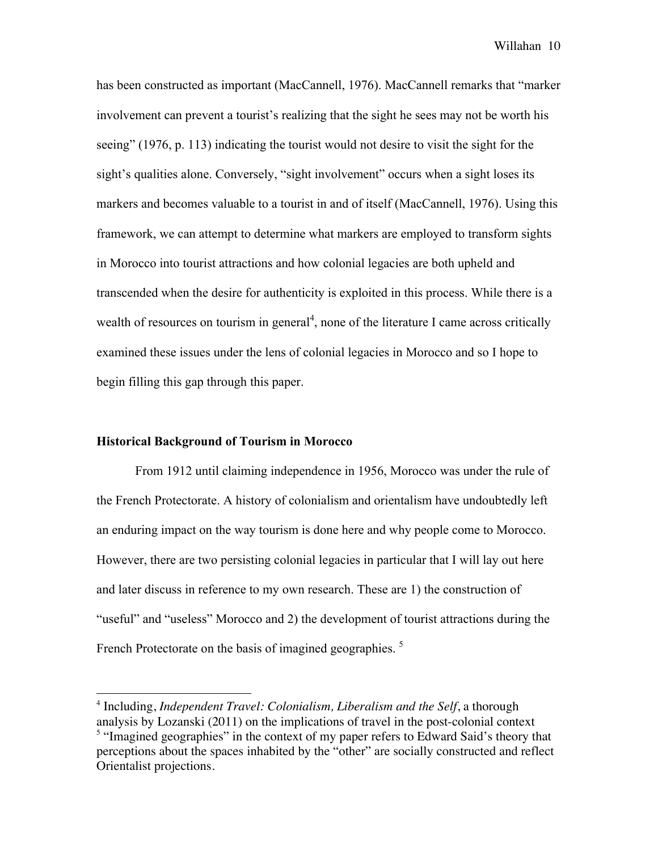has been constructed as important (MacCannell, 1976). MacCannell remarks that "marker involvement can prevent a tourist's realizing that the sight he sees may not be worth his seeing" (1976, p. 113) indicating the tourist would not desire to visit the sight for the sight's qualities alone. Conversely, "sight involvement" occurs when a sight loses its markers and becomes valuable to a tourist in and of itself (MacCannell, 1976). Using this framework, we can attempt to determine what markers are employed to transform sights in Morocco into tourist attractions and how colonial legacies are both upheld and transcended when the desire for authenticity is exploited in this process. While there is a wealth of resources on tourism in general<sup>4</sup>, none of the literature I came across critically examined these issues under the lens of colonial legacies in Morocco and so I hope to begin filling this gap through this paper.

## **Historical Background of Tourism in Morocco**

!!!!!!!!!!!!!!!!!!!!!!!!!!!!!!!!!!!!!!!!!!!!!!!!!!!!!!!

From 1912 until claiming independence in 1956, Morocco was under the rule of the French Protectorate. A history of colonialism and orientalism have undoubtedly left an enduring impact on the way tourism is done here and why people come to Morocco. However, there are two persisting colonial legacies in particular that I will lay out here and later discuss in reference to my own research. These are 1) the construction of "useful" and "useless" Morocco and 2) the development of tourist attractions during the French Protectorate on the basis of imagined geographies.<sup>5</sup>

<sup>4</sup> Including, *Independent Travel: Colonialism, Liberalism and the Self*, a thorough analysis by Lozanski (2011) on the implications of travel in the post-colonial context <sup>5</sup> "Imagined geographies" in the context of my paper refers to Edward Said's theory that perceptions about the spaces inhabited by the "other" are socially constructed and reflect Orientalist projections.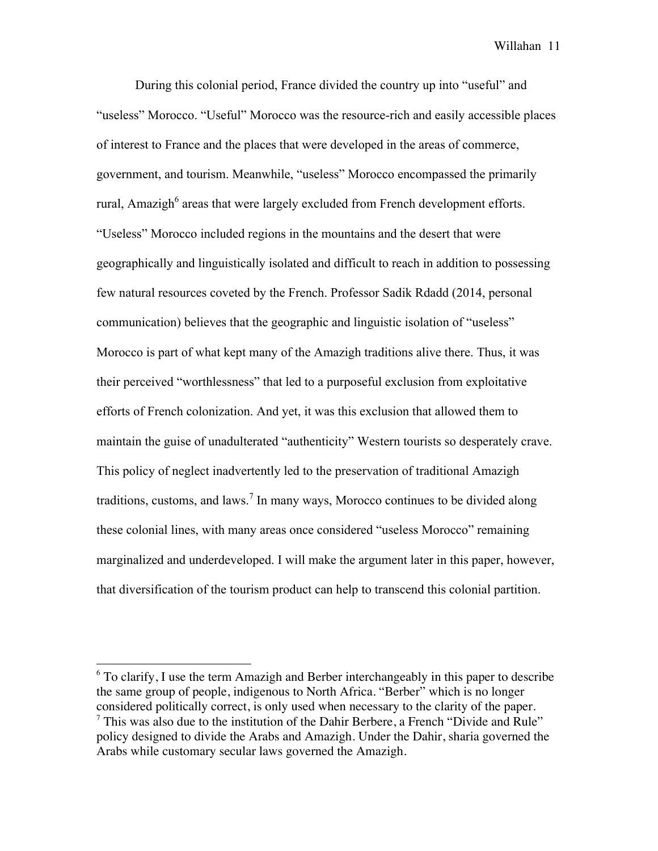During this colonial period, France divided the country up into "useful" and "useless" Morocco. "Useful" Morocco was the resource-rich and easily accessible places of interest to France and the places that were developed in the areas of commerce, government, and tourism. Meanwhile, "useless" Morocco encompassed the primarily rural, Amazigh<sup>6</sup> areas that were largely excluded from French development efforts. "Useless" Morocco included regions in the mountains and the desert that were geographically and linguistically isolated and difficult to reach in addition to possessing few natural resources coveted by the French. Professor Sadik Rdadd (2014, personal communication) believes that the geographic and linguistic isolation of "useless" Morocco is part of what kept many of the Amazigh traditions alive there. Thus, it was their perceived "worthlessness" that led to a purposeful exclusion from exploitative efforts of French colonization. And yet, it was this exclusion that allowed them to maintain the guise of unadulterated "authenticity" Western tourists so desperately crave. This policy of neglect inadvertently led to the preservation of traditional Amazigh traditions, customs, and laws.<sup>7</sup> In many ways, Morocco continues to be divided along these colonial lines, with many areas once considered "useless Morocco" remaining marginalized and underdeveloped. I will make the argument later in this paper, however, that diversification of the tourism product can help to transcend this colonial partition.

!!!!!!!!!!!!!!!!!!!!!!!!!!!!!!!!!!!!!!!!!!!!!!!!!!!!!!!

 $6$  To clarify, I use the term Amazigh and Berber interchangeably in this paper to describe the same group of people, indigenous to North Africa. "Berber" which is no longer considered politically correct, is only used when necessary to the clarity of the paper.  $7$  This was also due to the institution of the Dahir Berbere, a French "Divide and Rule" policy designed to divide the Arabs and Amazigh. Under the Dahir, sharia governed the Arabs while customary secular laws governed the Amazigh.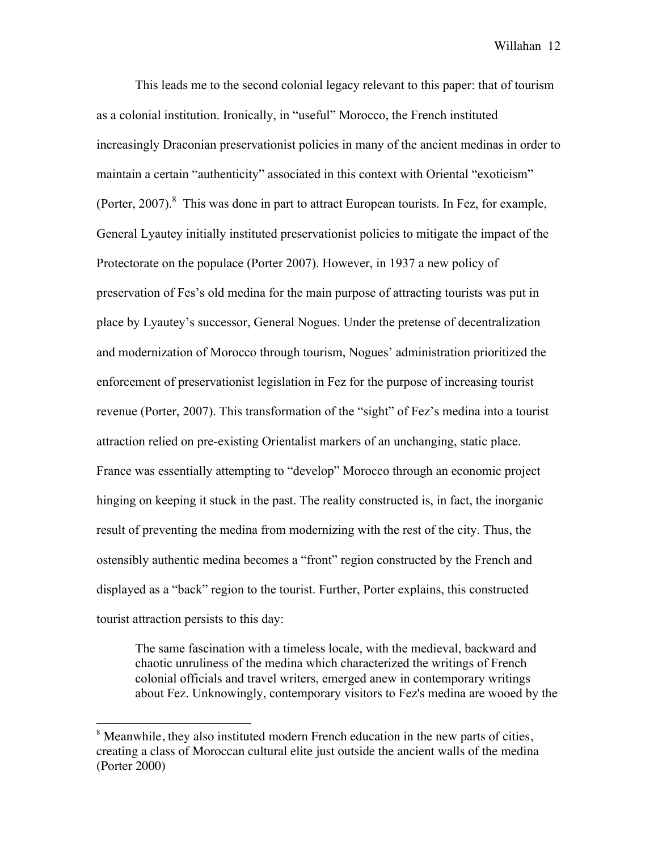This leads me to the second colonial legacy relevant to this paper: that of tourism as a colonial institution. Ironically, in "useful" Morocco, the French instituted increasingly Draconian preservationist policies in many of the ancient medinas in order to maintain a certain "authenticity" associated in this context with Oriental "exoticism" (Porter,  $2007$ ).<sup>8</sup> This was done in part to attract European tourists. In Fez, for example, General Lyautey initially instituted preservationist policies to mitigate the impact of the Protectorate on the populace (Porter 2007). However, in 1937 a new policy of preservation of Fes's old medina for the main purpose of attracting tourists was put in place by Lyautey's successor, General Nogues. Under the pretense of decentralization and modernization of Morocco through tourism, Nogues' administration prioritized the enforcement of preservationist legislation in Fez for the purpose of increasing tourist revenue (Porter, 2007). This transformation of the "sight" of Fez's medina into a tourist attraction relied on pre-existing Orientalist markers of an unchanging, static place. France was essentially attempting to "develop" Morocco through an economic project hinging on keeping it stuck in the past. The reality constructed is, in fact, the inorganic result of preventing the medina from modernizing with the rest of the city. Thus, the ostensibly authentic medina becomes a "front" region constructed by the French and displayed as a "back" region to the tourist. Further, Porter explains, this constructed tourist attraction persists to this day:

The same fascination with a timeless locale, with the medieval, backward and chaotic unruliness of the medina which characterized the writings of French colonial officials and travel writers, emerged anew in contemporary writings about Fez. Unknowingly, contemporary visitors to Fez's medina are wooed by the

!!!!!!!!!!!!!!!!!!!!!!!!!!!!!!!!!!!!!!!!!!!!!!!!!!!!!!!

<sup>&</sup>lt;sup>8</sup> Meanwhile, they also instituted modern French education in the new parts of cities, creating a class of Moroccan cultural elite just outside the ancient walls of the medina (Porter 2000)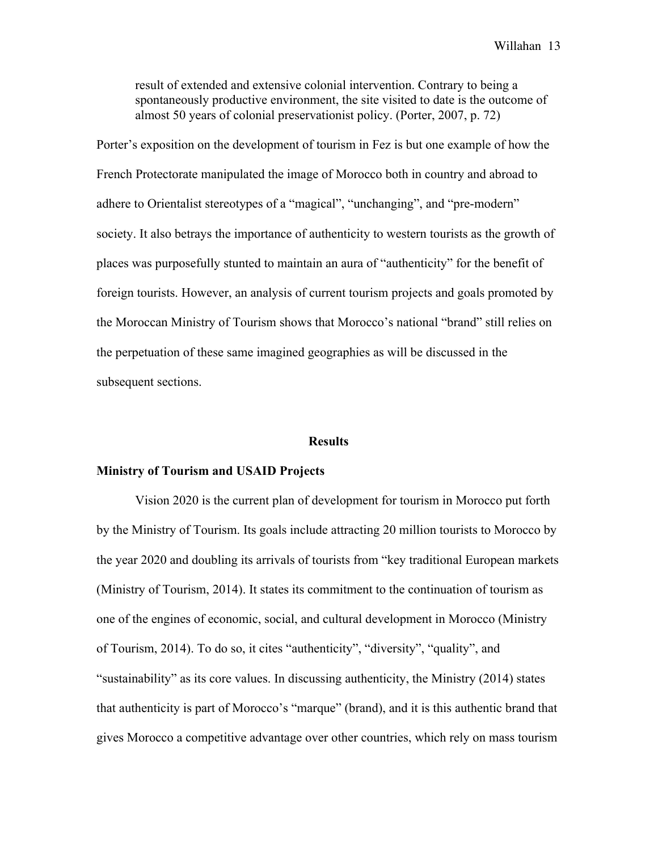result of extended and extensive colonial intervention. Contrary to being a spontaneously productive environment, the site visited to date is the outcome of almost 50 years of colonial preservationist policy. (Porter, 2007, p. 72)

Porter's exposition on the development of tourism in Fez is but one example of how the French Protectorate manipulated the image of Morocco both in country and abroad to adhere to Orientalist stereotypes of a "magical", "unchanging", and "pre-modern" society. It also betrays the importance of authenticity to western tourists as the growth of places was purposefully stunted to maintain an aura of "authenticity" for the benefit of foreign tourists. However, an analysis of current tourism projects and goals promoted by the Moroccan Ministry of Tourism shows that Morocco's national "brand" still relies on the perpetuation of these same imagined geographies as will be discussed in the subsequent sections.

### **Results**

## **Ministry of Tourism and USAID Projects**

Vision 2020 is the current plan of development for tourism in Morocco put forth by the Ministry of Tourism. Its goals include attracting 20 million tourists to Morocco by the year 2020 and doubling its arrivals of tourists from "key traditional European markets (Ministry of Tourism, 2014). It states its commitment to the continuation of tourism as one of the engines of economic, social, and cultural development in Morocco (Ministry of Tourism, 2014). To do so, it cites "authenticity", "diversity", "quality", and "sustainability" as its core values. In discussing authenticity, the Ministry (2014) states that authenticity is part of Morocco's "marque" (brand), and it is this authentic brand that gives Morocco a competitive advantage over other countries, which rely on mass tourism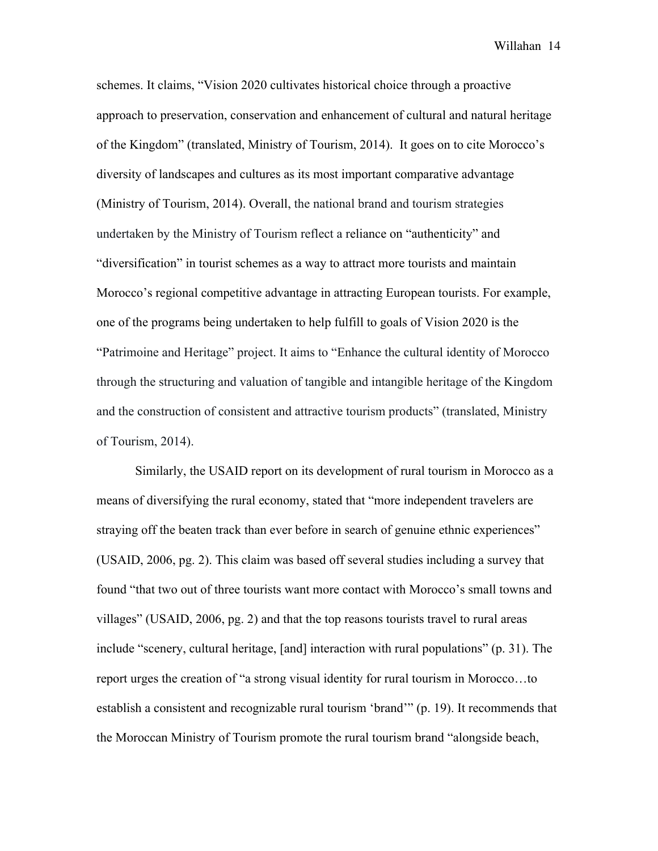schemes. It claims, "Vision 2020 cultivates historical choice through a proactive approach to preservation, conservation and enhancement of cultural and natural heritage of the Kingdom" (translated, Ministry of Tourism, 2014). It goes on to cite Morocco's diversity of landscapes and cultures as its most important comparative advantage (Ministry of Tourism, 2014). Overall, the national brand and tourism strategies undertaken by the Ministry of Tourism reflect a reliance on "authenticity" and "diversification" in tourist schemes as a way to attract more tourists and maintain Morocco's regional competitive advantage in attracting European tourists. For example, one of the programs being undertaken to help fulfill to goals of Vision 2020 is the "Patrimoine and Heritage" project. It aims to "Enhance the cultural identity of Morocco through the structuring and valuation of tangible and intangible heritage of the Kingdom and the construction of consistent and attractive tourism products" (translated, Ministry of Tourism, 2014).

Similarly, the USAID report on its development of rural tourism in Morocco as a means of diversifying the rural economy, stated that "more independent travelers are straying off the beaten track than ever before in search of genuine ethnic experiences" (USAID, 2006, pg. 2). This claim was based off several studies including a survey that found "that two out of three tourists want more contact with Morocco's small towns and villages" (USAID, 2006, pg. 2) and that the top reasons tourists travel to rural areas include "scenery, cultural heritage, [and] interaction with rural populations" (p. 31). The report urges the creation of "a strong visual identity for rural tourism in Morocco…to establish a consistent and recognizable rural tourism 'brand'" (p. 19). It recommends that the Moroccan Ministry of Tourism promote the rural tourism brand "alongside beach,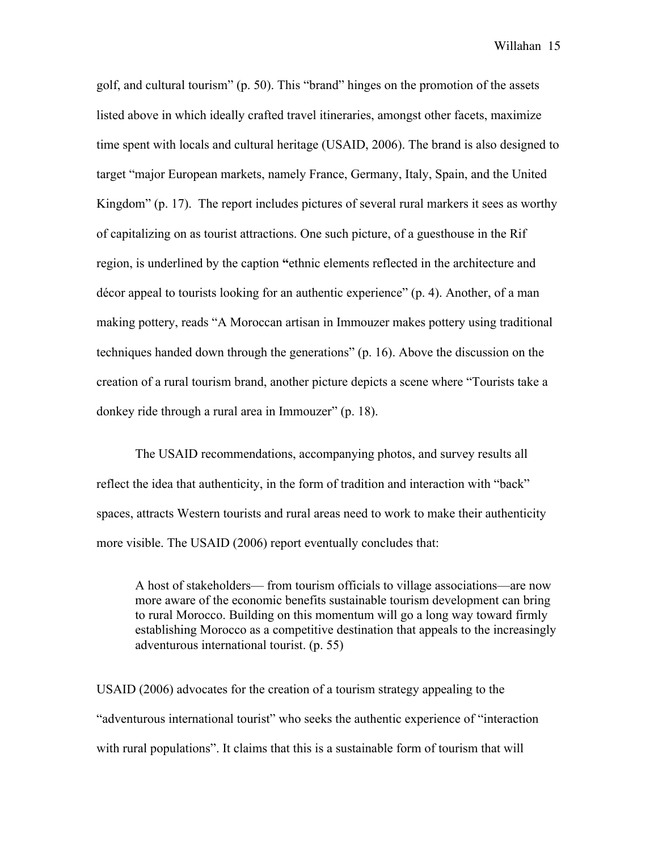golf, and cultural tourism" (p. 50). This "brand" hinges on the promotion of the assets listed above in which ideally crafted travel itineraries, amongst other facets, maximize time spent with locals and cultural heritage (USAID, 2006). The brand is also designed to target "major European markets, namely France, Germany, Italy, Spain, and the United Kingdom" (p. 17). The report includes pictures of several rural markers it sees as worthy of capitalizing on as tourist attractions. One such picture, of a guesthouse in the Rif region, is underlined by the caption **"**ethnic elements reflected in the architecture and décor appeal to tourists looking for an authentic experience" (p. 4). Another, of a man making pottery, reads "A Moroccan artisan in Immouzer makes pottery using traditional techniques handed down through the generations" (p. 16). Above the discussion on the creation of a rural tourism brand, another picture depicts a scene where "Tourists take a donkey ride through a rural area in Immouzer" (p. 18).

The USAID recommendations, accompanying photos, and survey results all reflect the idea that authenticity, in the form of tradition and interaction with "back" spaces, attracts Western tourists and rural areas need to work to make their authenticity more visible. The USAID (2006) report eventually concludes that:

A host of stakeholders— from tourism officials to village associations—are now more aware of the economic benefits sustainable tourism development can bring to rural Morocco. Building on this momentum will go a long way toward firmly establishing Morocco as a competitive destination that appeals to the increasingly adventurous international tourist. (p. 55)

USAID (2006) advocates for the creation of a tourism strategy appealing to the "adventurous international tourist" who seeks the authentic experience of "interaction with rural populations". It claims that this is a sustainable form of tourism that will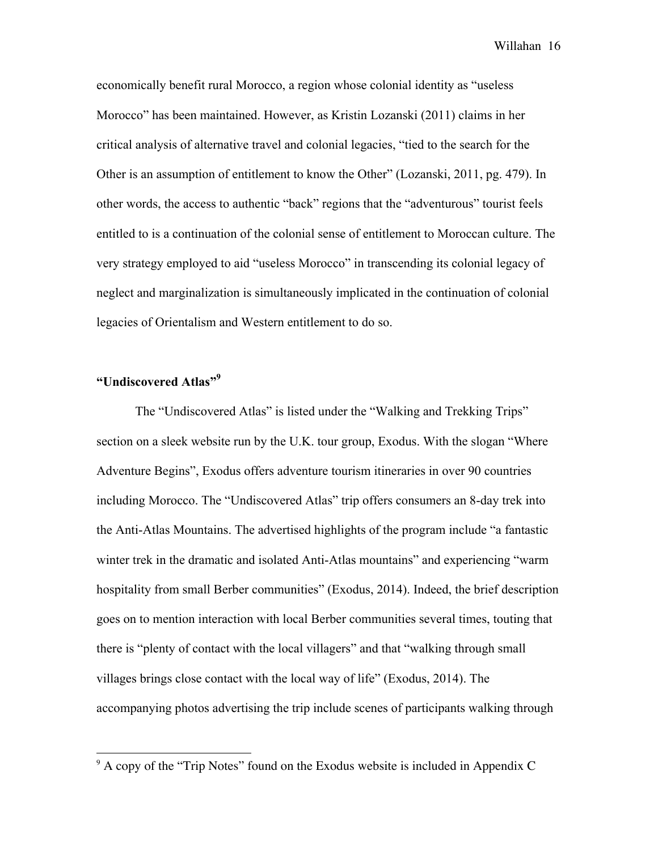economically benefit rural Morocco, a region whose colonial identity as "useless Morocco" has been maintained. However, as Kristin Lozanski (2011) claims in her critical analysis of alternative travel and colonial legacies, "tied to the search for the Other is an assumption of entitlement to know the Other" (Lozanski, 2011, pg. 479). In other words, the access to authentic "back" regions that the "adventurous" tourist feels entitled to is a continuation of the colonial sense of entitlement to Moroccan culture. The very strategy employed to aid "useless Morocco" in transcending its colonial legacy of neglect and marginalization is simultaneously implicated in the continuation of colonial legacies of Orientalism and Western entitlement to do so.

## **"Undiscovered Atlas"9**

!!!!!!!!!!!!!!!!!!!!!!!!!!!!!!!!!!!!!!!!!!!!!!!!!!!!!!!

The "Undiscovered Atlas" is listed under the "Walking and Trekking Trips" section on a sleek website run by the U.K. tour group, Exodus. With the slogan "Where Adventure Begins", Exodus offers adventure tourism itineraries in over 90 countries including Morocco. The "Undiscovered Atlas" trip offers consumers an 8-day trek into the Anti-Atlas Mountains. The advertised highlights of the program include "a fantastic winter trek in the dramatic and isolated Anti-Atlas mountains" and experiencing "warm hospitality from small Berber communities" (Exodus, 2014). Indeed, the brief description goes on to mention interaction with local Berber communities several times, touting that there is "plenty of contact with the local villagers" and that "walking through small villages brings close contact with the local way of life" (Exodus, 2014). The accompanying photos advertising the trip include scenes of participants walking through

 $9$  A copy of the "Trip Notes" found on the Exodus website is included in Appendix C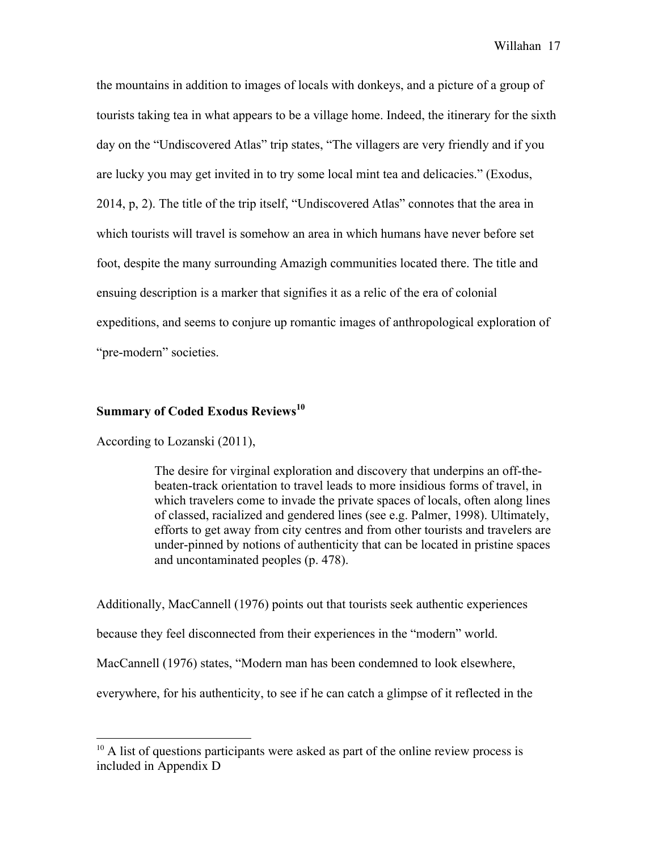the mountains in addition to images of locals with donkeys, and a picture of a group of tourists taking tea in what appears to be a village home. Indeed, the itinerary for the sixth day on the "Undiscovered Atlas" trip states, "The villagers are very friendly and if you are lucky you may get invited in to try some local mint tea and delicacies." (Exodus, 2014, p, 2). The title of the trip itself, "Undiscovered Atlas" connotes that the area in which tourists will travel is somehow an area in which humans have never before set foot, despite the many surrounding Amazigh communities located there. The title and ensuing description is a marker that signifies it as a relic of the era of colonial expeditions, and seems to conjure up romantic images of anthropological exploration of "pre-modern" societies.

## **Summary of Coded Exodus Reviews**<sup>10</sup>

According to Lozanski (2011),

!!!!!!!!!!!!!!!!!!!!!!!!!!!!!!!!!!!!!!!!!!!!!!!!!!!!!!!

The desire for virginal exploration and discovery that underpins an off-thebeaten-track orientation to travel leads to more insidious forms of travel, in which travelers come to invade the private spaces of locals, often along lines of classed, racialized and gendered lines (see e.g. Palmer, 1998). Ultimately, efforts to get away from city centres and from other tourists and travelers are under-pinned by notions of authenticity that can be located in pristine spaces and uncontaminated peoples (p. 478).

Additionally, MacCannell (1976) points out that tourists seek authentic experiences because they feel disconnected from their experiences in the "modern" world. MacCannell (1976) states, "Modern man has been condemned to look elsewhere, everywhere, for his authenticity, to see if he can catch a glimpse of it reflected in the

 $10$  A list of questions participants were asked as part of the online review process is included in Appendix D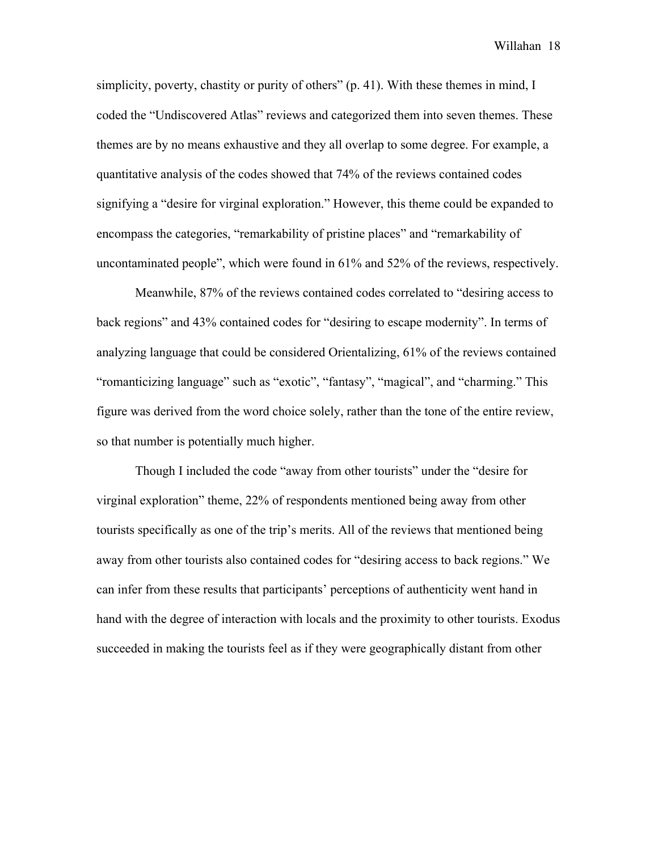simplicity, poverty, chastity or purity of others" (p. 41). With these themes in mind, I coded the "Undiscovered Atlas" reviews and categorized them into seven themes. These themes are by no means exhaustive and they all overlap to some degree. For example, a quantitative analysis of the codes showed that 74% of the reviews contained codes signifying a "desire for virginal exploration." However, this theme could be expanded to encompass the categories, "remarkability of pristine places" and "remarkability of uncontaminated people", which were found in 61% and 52% of the reviews, respectively.

Meanwhile, 87% of the reviews contained codes correlated to "desiring access to back regions" and 43% contained codes for "desiring to escape modernity". In terms of analyzing language that could be considered Orientalizing, 61% of the reviews contained "romanticizing language" such as "exotic", "fantasy", "magical", and "charming." This figure was derived from the word choice solely, rather than the tone of the entire review, so that number is potentially much higher.

Though I included the code "away from other tourists" under the "desire for virginal exploration" theme, 22% of respondents mentioned being away from other tourists specifically as one of the trip's merits. All of the reviews that mentioned being away from other tourists also contained codes for "desiring access to back regions." We can infer from these results that participants' perceptions of authenticity went hand in hand with the degree of interaction with locals and the proximity to other tourists. Exodus succeeded in making the tourists feel as if they were geographically distant from other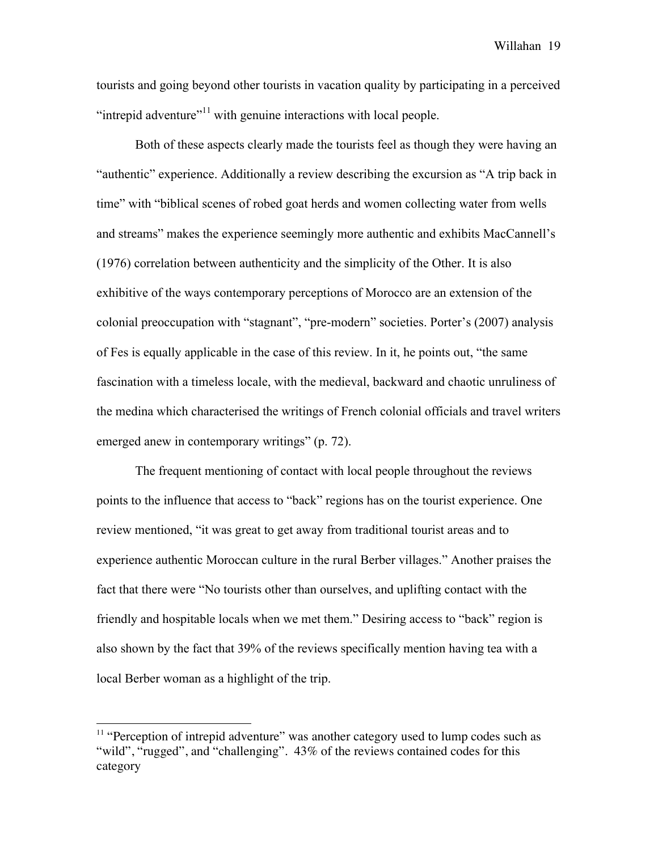tourists and going beyond other tourists in vacation quality by participating in a perceived "intrepid adventure"<sup>11</sup> with genuine interactions with local people.

Both of these aspects clearly made the tourists feel as though they were having an "authentic" experience. Additionally a review describing the excursion as "A trip back in time" with "biblical scenes of robed goat herds and women collecting water from wells and streams" makes the experience seemingly more authentic and exhibits MacCannell's (1976) correlation between authenticity and the simplicity of the Other. It is also exhibitive of the ways contemporary perceptions of Morocco are an extension of the colonial preoccupation with "stagnant", "pre-modern" societies. Porter's (2007) analysis of Fes is equally applicable in the case of this review. In it, he points out, "the same fascination with a timeless locale, with the medieval, backward and chaotic unruliness of the medina which characterised the writings of French colonial officials and travel writers emerged anew in contemporary writings" (p. 72).

The frequent mentioning of contact with local people throughout the reviews points to the influence that access to "back" regions has on the tourist experience. One review mentioned, "it was great to get away from traditional tourist areas and to experience authentic Moroccan culture in the rural Berber villages." Another praises the fact that there were "No tourists other than ourselves, and uplifting contact with the friendly and hospitable locals when we met them." Desiring access to "back" region is also shown by the fact that 39% of the reviews specifically mention having tea with a local Berber woman as a highlight of the trip.

!!!!!!!!!!!!!!!!!!!!!!!!!!!!!!!!!!!!!!!!!!!!!!!!!!!!!!!

 $11$  "Perception of intrepid adventure" was another category used to lump codes such as "wild", "rugged", and "challenging". 43% of the reviews contained codes for this category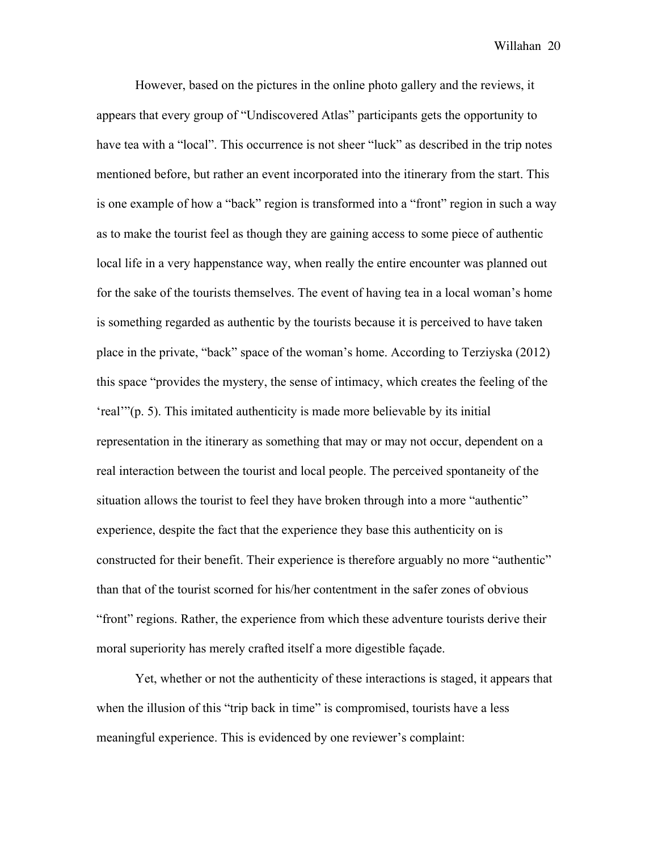However, based on the pictures in the online photo gallery and the reviews, it appears that every group of "Undiscovered Atlas" participants gets the opportunity to have tea with a "local". This occurrence is not sheer "luck" as described in the trip notes mentioned before, but rather an event incorporated into the itinerary from the start. This is one example of how a "back" region is transformed into a "front" region in such a way as to make the tourist feel as though they are gaining access to some piece of authentic local life in a very happenstance way, when really the entire encounter was planned out for the sake of the tourists themselves. The event of having tea in a local woman's home is something regarded as authentic by the tourists because it is perceived to have taken place in the private, "back" space of the woman's home. According to Terziyska (2012) this space "provides the mystery, the sense of intimacy, which creates the feeling of the 'real'"(p. 5). This imitated authenticity is made more believable by its initial representation in the itinerary as something that may or may not occur, dependent on a real interaction between the tourist and local people. The perceived spontaneity of the situation allows the tourist to feel they have broken through into a more "authentic" experience, despite the fact that the experience they base this authenticity on is constructed for their benefit. Their experience is therefore arguably no more "authentic" than that of the tourist scorned for his/her contentment in the safer zones of obvious "front" regions. Rather, the experience from which these adventure tourists derive their moral superiority has merely crafted itself a more digestible façade.

Yet, whether or not the authenticity of these interactions is staged, it appears that when the illusion of this "trip back in time" is compromised, tourists have a less meaningful experience. This is evidenced by one reviewer's complaint: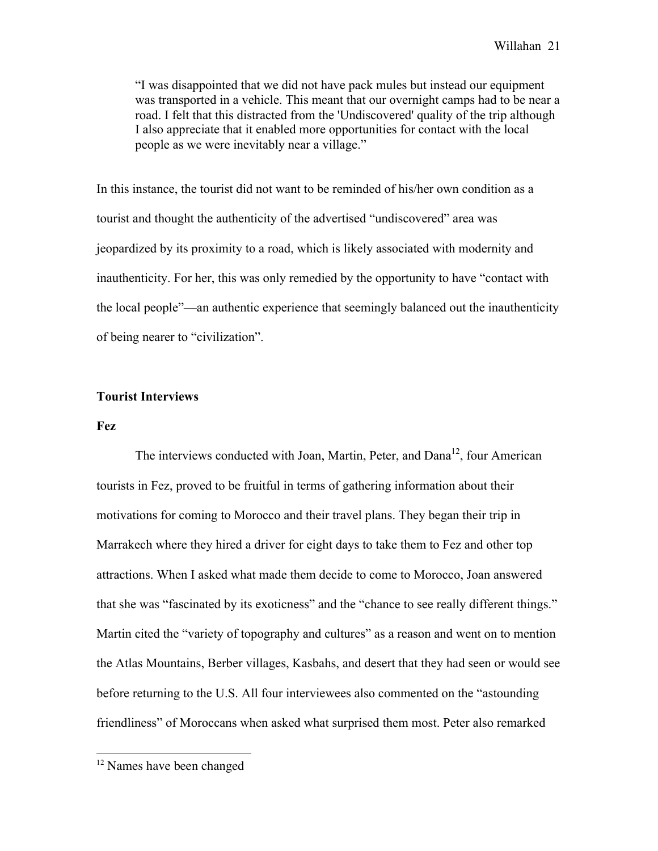"I was disappointed that we did not have pack mules but instead our equipment was transported in a vehicle. This meant that our overnight camps had to be near a road. I felt that this distracted from the 'Undiscovered' quality of the trip although I also appreciate that it enabled more opportunities for contact with the local people as we were inevitably near a village."

In this instance, the tourist did not want to be reminded of his/her own condition as a tourist and thought the authenticity of the advertised "undiscovered" area was jeopardized by its proximity to a road, which is likely associated with modernity and inauthenticity. For her, this was only remedied by the opportunity to have "contact with the local people"—an authentic experience that seemingly balanced out the inauthenticity of being nearer to "civilization".

## **Tourist Interviews**

### **Fez**

The interviews conducted with Joan, Martin, Peter, and  $Dana<sup>12</sup>$ , four American tourists in Fez, proved to be fruitful in terms of gathering information about their motivations for coming to Morocco and their travel plans. They began their trip in Marrakech where they hired a driver for eight days to take them to Fez and other top attractions. When I asked what made them decide to come to Morocco, Joan answered that she was "fascinated by its exoticness" and the "chance to see really different things." Martin cited the "variety of topography and cultures" as a reason and went on to mention the Atlas Mountains, Berber villages, Kasbahs, and desert that they had seen or would see before returning to the U.S. All four interviewees also commented on the "astounding friendliness" of Moroccans when asked what surprised them most. Peter also remarked

<sup>!!!!!!!!!!!!!!!!!!!!!!!!!!!!!!!!!!!!!!!!!!!!!!!!!!!!!!!</sup> <sup>12</sup> Names have been changed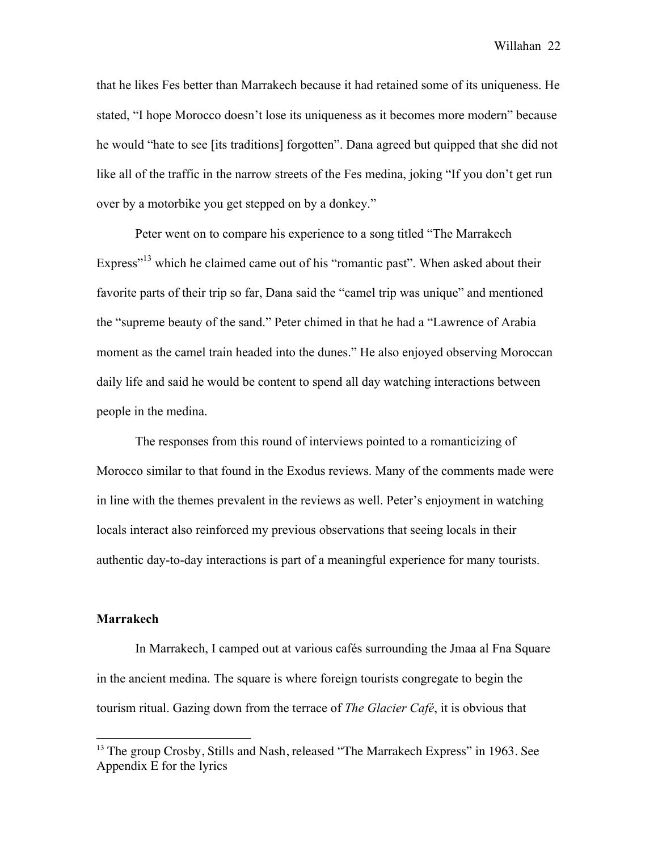that he likes Fes better than Marrakech because it had retained some of its uniqueness. He stated, "I hope Morocco doesn't lose its uniqueness as it becomes more modern" because he would "hate to see [its traditions] forgotten". Dana agreed but quipped that she did not like all of the traffic in the narrow streets of the Fes medina, joking "If you don't get run over by a motorbike you get stepped on by a donkey."

Peter went on to compare his experience to a song titled "The Marrakech Express<sup> $13$ </sup> which he claimed came out of his "romantic past". When asked about their favorite parts of their trip so far, Dana said the "camel trip was unique" and mentioned the "supreme beauty of the sand." Peter chimed in that he had a "Lawrence of Arabia moment as the camel train headed into the dunes." He also enjoyed observing Moroccan daily life and said he would be content to spend all day watching interactions between people in the medina.

The responses from this round of interviews pointed to a romanticizing of Morocco similar to that found in the Exodus reviews. Many of the comments made were in line with the themes prevalent in the reviews as well. Peter's enjoyment in watching locals interact also reinforced my previous observations that seeing locals in their authentic day-to-day interactions is part of a meaningful experience for many tourists.

## **Marrakech**

!!!!!!!!!!!!!!!!!!!!!!!!!!!!!!!!!!!!!!!!!!!!!!!!!!!!!!!

In Marrakech, I camped out at various cafés surrounding the Jmaa al Fna Square in the ancient medina. The square is where foreign tourists congregate to begin the tourism ritual. Gazing down from the terrace of *The Glacier Café*, it is obvious that

<sup>&</sup>lt;sup>13</sup> The group Crosby, Stills and Nash, released "The Marrakech Express" in 1963. See Appendix E for the lyrics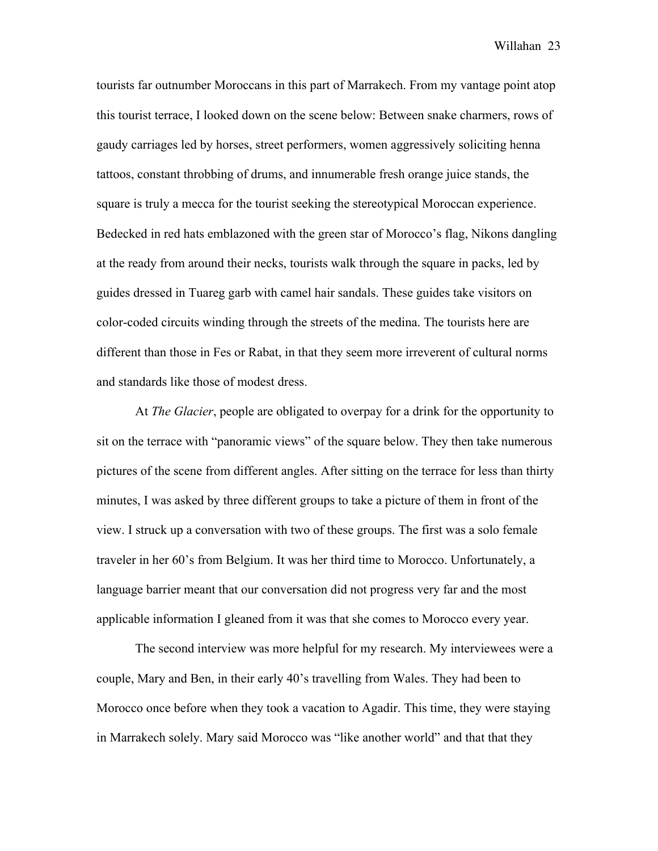tourists far outnumber Moroccans in this part of Marrakech. From my vantage point atop this tourist terrace, I looked down on the scene below: Between snake charmers, rows of gaudy carriages led by horses, street performers, women aggressively soliciting henna tattoos, constant throbbing of drums, and innumerable fresh orange juice stands, the square is truly a mecca for the tourist seeking the stereotypical Moroccan experience. Bedecked in red hats emblazoned with the green star of Morocco's flag, Nikons dangling at the ready from around their necks, tourists walk through the square in packs, led by guides dressed in Tuareg garb with camel hair sandals. These guides take visitors on color-coded circuits winding through the streets of the medina. The tourists here are different than those in Fes or Rabat, in that they seem more irreverent of cultural norms and standards like those of modest dress.

At *The Glacier*, people are obligated to overpay for a drink for the opportunity to sit on the terrace with "panoramic views" of the square below. They then take numerous pictures of the scene from different angles. After sitting on the terrace for less than thirty minutes, I was asked by three different groups to take a picture of them in front of the view. I struck up a conversation with two of these groups. The first was a solo female traveler in her 60's from Belgium. It was her third time to Morocco. Unfortunately, a language barrier meant that our conversation did not progress very far and the most applicable information I gleaned from it was that she comes to Morocco every year.

The second interview was more helpful for my research. My interviewees were a couple, Mary and Ben, in their early 40's travelling from Wales. They had been to Morocco once before when they took a vacation to Agadir. This time, they were staying in Marrakech solely. Mary said Morocco was "like another world" and that that they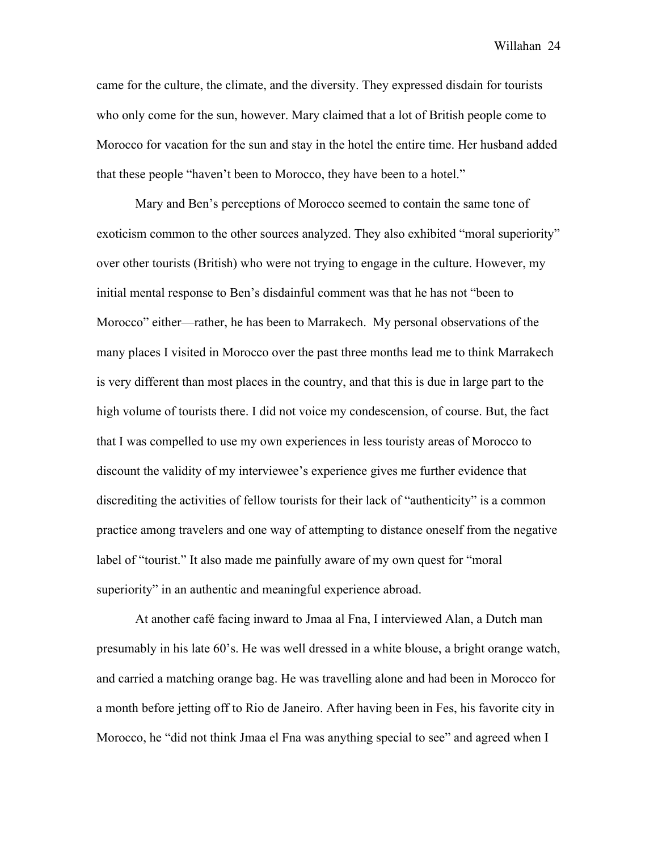came for the culture, the climate, and the diversity. They expressed disdain for tourists who only come for the sun, however. Mary claimed that a lot of British people come to Morocco for vacation for the sun and stay in the hotel the entire time. Her husband added that these people "haven't been to Morocco, they have been to a hotel."

Mary and Ben's perceptions of Morocco seemed to contain the same tone of exoticism common to the other sources analyzed. They also exhibited "moral superiority" over other tourists (British) who were not trying to engage in the culture. However, my initial mental response to Ben's disdainful comment was that he has not "been to Morocco" either—rather, he has been to Marrakech. My personal observations of the many places I visited in Morocco over the past three months lead me to think Marrakech is very different than most places in the country, and that this is due in large part to the high volume of tourists there. I did not voice my condescension, of course. But, the fact that I was compelled to use my own experiences in less touristy areas of Morocco to discount the validity of my interviewee's experience gives me further evidence that discrediting the activities of fellow tourists for their lack of "authenticity" is a common practice among travelers and one way of attempting to distance oneself from the negative label of "tourist." It also made me painfully aware of my own quest for "moral superiority" in an authentic and meaningful experience abroad.

At another café facing inward to Jmaa al Fna, I interviewed Alan, a Dutch man presumably in his late 60's. He was well dressed in a white blouse, a bright orange watch, and carried a matching orange bag. He was travelling alone and had been in Morocco for a month before jetting off to Rio de Janeiro. After having been in Fes, his favorite city in Morocco, he "did not think Jmaa el Fna was anything special to see" and agreed when I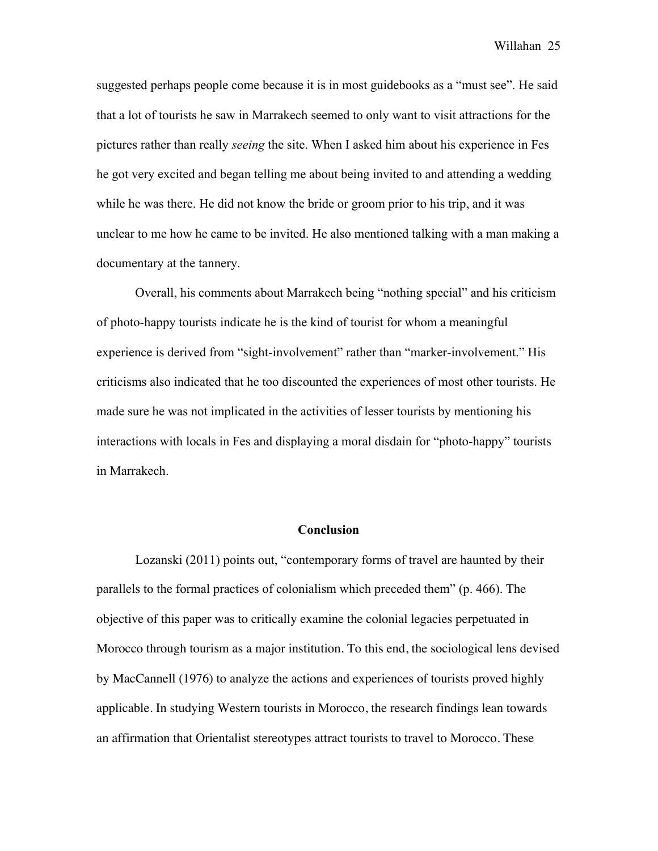suggested perhaps people come because it is in most guidebooks as a "must see". He said that a lot of tourists he saw in Marrakech seemed to only want to visit attractions for the pictures rather than really *seeing* the site. When I asked him about his experience in Fes he got very excited and began telling me about being invited to and attending a wedding while he was there. He did not know the bride or groom prior to his trip, and it was unclear to me how he came to be invited. He also mentioned talking with a man making a documentary at the tannery.

Overall, his comments about Marrakech being "nothing special" and his criticism of photo-happy tourists indicate he is the kind of tourist for whom a meaningful experience is derived from "sight-involvement" rather than "marker-involvement." His criticisms also indicated that he too discounted the experiences of most other tourists. He made sure he was not implicated in the activities of lesser tourists by mentioning his interactions with locals in Fes and displaying a moral disdain for "photo-happy" tourists in Marrakech.

## **Conclusion**

Lozanski (2011) points out, "contemporary forms of travel are haunted by their parallels to the formal practices of colonialism which preceded them" (p. 466). The objective of this paper was to critically examine the colonial legacies perpetuated in Morocco through tourism as a major institution. To this end, the sociological lens devised by MacCannell (1976) to analyze the actions and experiences of tourists proved highly applicable. In studying Western tourists in Morocco, the research findings lean towards an affirmation that Orientalist stereotypes attract tourists to travel to Morocco. These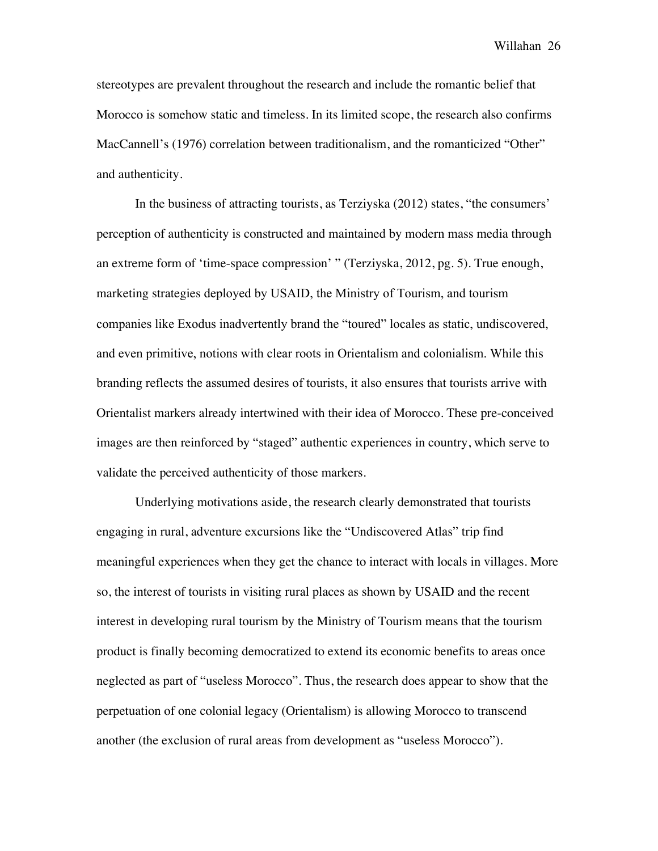stereotypes are prevalent throughout the research and include the romantic belief that Morocco is somehow static and timeless. In its limited scope, the research also confirms MacCannell's (1976) correlation between traditionalism, and the romanticized "Other" and authenticity.

In the business of attracting tourists, as Terziyska (2012) states, "the consumers' perception of authenticity is constructed and maintained by modern mass media through an extreme form of 'time-space compression' " (Terziyska, 2012, pg. 5). True enough, marketing strategies deployed by USAID, the Ministry of Tourism, and tourism companies like Exodus inadvertently brand the "toured" locales as static, undiscovered, and even primitive, notions with clear roots in Orientalism and colonialism. While this branding reflects the assumed desires of tourists, it also ensures that tourists arrive with Orientalist markers already intertwined with their idea of Morocco. These pre-conceived images are then reinforced by "staged" authentic experiences in country, which serve to validate the perceived authenticity of those markers.

Underlying motivations aside, the research clearly demonstrated that tourists engaging in rural, adventure excursions like the "Undiscovered Atlas" trip find meaningful experiences when they get the chance to interact with locals in villages. More so, the interest of tourists in visiting rural places as shown by USAID and the recent interest in developing rural tourism by the Ministry of Tourism means that the tourism product is finally becoming democratized to extend its economic benefits to areas once neglected as part of "useless Morocco". Thus, the research does appear to show that the perpetuation of one colonial legacy (Orientalism) is allowing Morocco to transcend another (the exclusion of rural areas from development as "useless Morocco").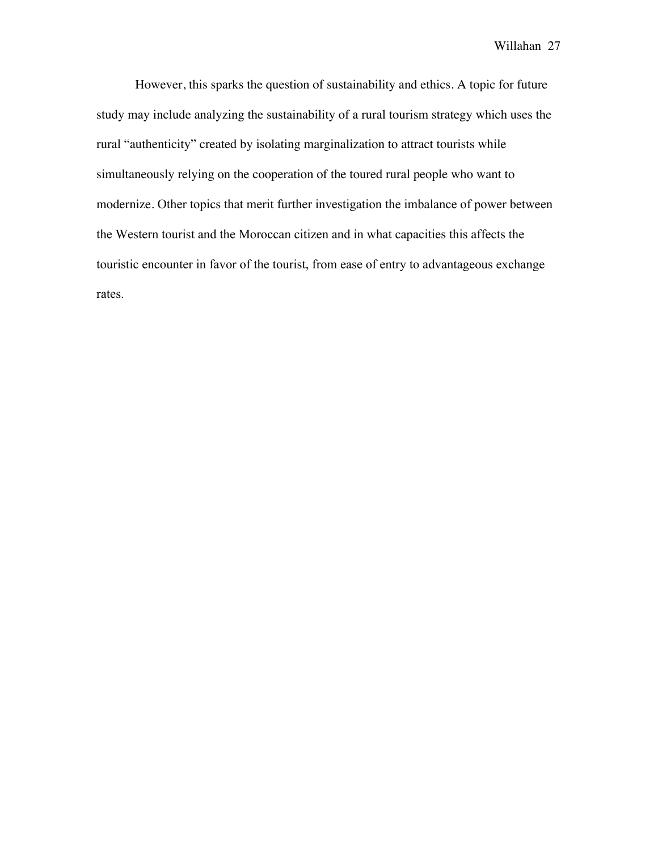However, this sparks the question of sustainability and ethics. A topic for future study may include analyzing the sustainability of a rural tourism strategy which uses the rural "authenticity" created by isolating marginalization to attract tourists while simultaneously relying on the cooperation of the toured rural people who want to modernize. Other topics that merit further investigation the imbalance of power between the Western tourist and the Moroccan citizen and in what capacities this affects the touristic encounter in favor of the tourist, from ease of entry to advantageous exchange rates.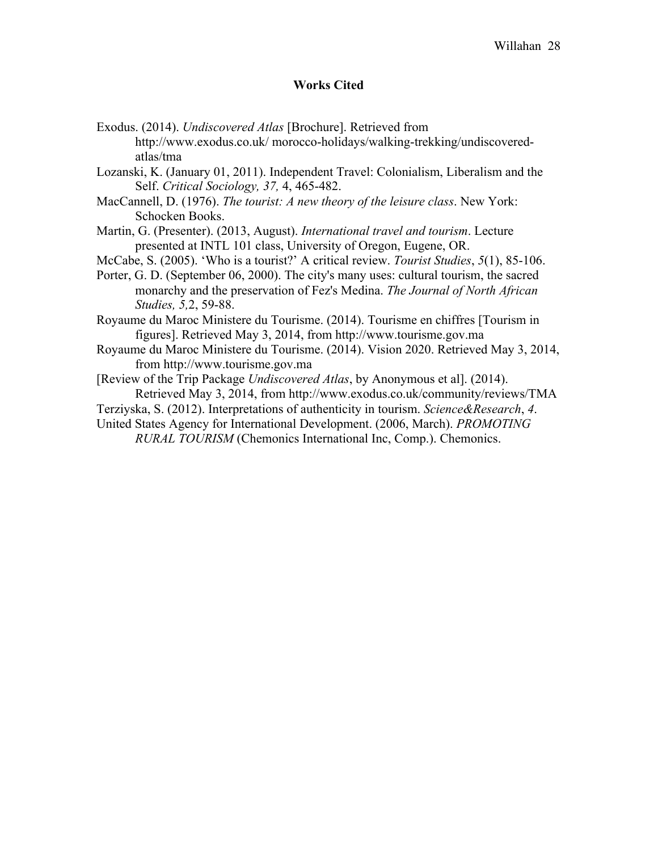## **Works Cited**

Exodus. (2014). *Undiscovered Atlas* [Brochure]. Retrieved from http://www.exodus.co.uk/ morocco-holidays/walking-trekking/undiscoveredatlas/tma

Lozanski, K. (January 01, 2011). Independent Travel: Colonialism, Liberalism and the Self. *Critical Sociology, 37,* 4, 465-482.

MacCannell, D. (1976). *The tourist: A new theory of the leisure class*. New York: Schocken Books.

Martin, G. (Presenter). (2013, August). *International travel and tourism*. Lecture presented at INTL 101 class, University of Oregon, Eugene, OR.

McCabe, S. (2005). 'Who is a tourist?' A critical review. *Tourist Studies*, *5*(1), 85-106.

Porter, G. D. (September 06, 2000). The city's many uses: cultural tourism, the sacred monarchy and the preservation of Fez's Medina. *The Journal of North African Studies, 5,*2, 59-88.

Royaume du Maroc Ministere du Tourisme. (2014). Tourisme en chiffres [Tourism in figures]. Retrieved May 3, 2014, from http://www.tourisme.gov.ma

Royaume du Maroc Ministere du Tourisme. (2014). Vision 2020. Retrieved May 3, 2014, from http://www.tourisme.gov.ma

[Review of the Trip Package *Undiscovered Atlas*, by Anonymous et al]. (2014). Retrieved May 3, 2014, from http://www.exodus.co.uk/community/reviews/TMA

Terziyska, S. (2012). Interpretations of authenticity in tourism. *Science&Research*, *4*.

United States Agency for International Development. (2006, March). *PROMOTING RURAL TOURISM* (Chemonics International Inc, Comp.). Chemonics.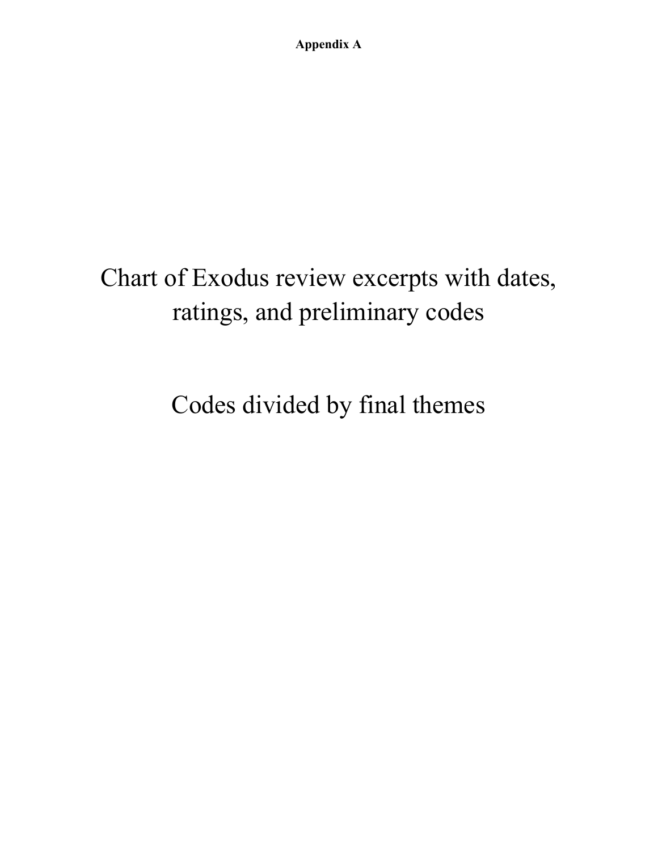# Chart of Exodus review excerpts with dates, ratings, and preliminary codes

Codes divided by final themes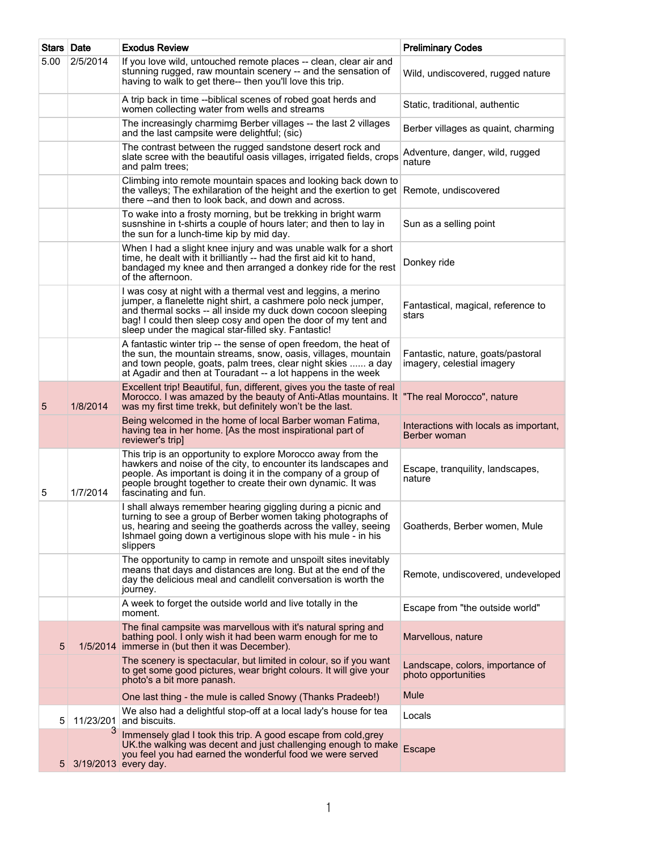| Stars Date     |           | <b>Exodus Review</b>                                                                                                                                                                                                                                                                                                    | <b>Preliminary Codes</b>                                        |
|----------------|-----------|-------------------------------------------------------------------------------------------------------------------------------------------------------------------------------------------------------------------------------------------------------------------------------------------------------------------------|-----------------------------------------------------------------|
| 5.00           | 2/5/2014  | If you love wild, untouched remote places -- clean, clear air and<br>stunning rugged, raw mountain scenery -- and the sensation of<br>having to walk to get there-- then you'll love this trip.                                                                                                                         | Wild, undiscovered, rugged nature                               |
|                |           | A trip back in time --biblical scenes of robed goat herds and<br>women collecting water from wells and streams                                                                                                                                                                                                          | Static, traditional, authentic                                  |
|                |           | The increasingly charmimg Berber villages -- the last 2 villages<br>and the last campsite were delightful; (sic)                                                                                                                                                                                                        | Berber villages as quaint, charming                             |
|                |           | The contrast between the rugged sandstone desert rock and<br>slate scree with the beautiful oasis villages, irrigated fields, crops<br>and palm trees;                                                                                                                                                                  | Adventure, danger, wild, rugged<br>nature                       |
|                |           | Climbing into remote mountain spaces and looking back down to<br>the valleys; The exhilaration of the height and the exertion to get<br>there -- and then to look back, and down and across.                                                                                                                            | Remote, undiscovered                                            |
|                |           | To wake into a frosty morning, but be trekking in bright warm<br>susnshine in t-shirts a couple of hours later; and then to lay in<br>the sun for a lunch-time kip by mid day.                                                                                                                                          | Sun as a selling point                                          |
|                |           | When I had a slight knee injury and was unable walk for a short<br>time, he dealt with it brilliantly -- had the first aid kit to hand,<br>bandaged my knee and then arranged a donkey ride for the rest<br>of the afternoon.                                                                                           | Donkey ride                                                     |
|                |           | I was cosy at night with a thermal vest and leggins, a merino<br>jumper, a flanelette night shirt, a cashmere polo neck jumper,<br>and thermal socks -- all inside my duck down cocoon sleeping<br>bag! I could then sleep cosy and open the door of my tent and<br>sleep under the magical star-filled sky. Fantastic! | Fantastical, magical, reference to<br>stars                     |
|                |           | A fantastic winter trip -- the sense of open freedom, the heat of<br>the sun, the mountain streams, snow, oasis, villages, mountain<br>and town people, goats, palm trees, clear night skies  a day<br>at Agadir and then at Touradant -- a lot happens in the week                                                     | Fantastic, nature, goats/pastoral<br>imagery, celestial imagery |
| 5              | 1/8/2014  | Excellent trip! Beautiful, fun, different, gives you the taste of real<br>Morocco. I was amazed by the beauty of Anti-Atlas mountains. It "The real Morocco", nature<br>was my first time trekk, but definitely won't be the last.                                                                                      |                                                                 |
|                |           | Being welcomed in the home of local Barber woman Fatima,<br>having tea in her home. [As the most inspirational part of<br>reviewer's trip]                                                                                                                                                                              | Interactions with locals as important,<br>Berber woman          |
| 5              | 1/7/2014  | This trip is an opportunity to explore Morocco away from the<br>hawkers and noise of the city, to encounter its landscapes and<br>people. As important is doing it in the company of a group of<br>people brought together to create their own dynamic. It was<br>fascinating and fun.                                  | Escape, tranquility, landscapes,<br>nature                      |
|                |           | I shall always remember hearing giggling during a picnic and<br>turning to see a group of Berber women taking photographs of<br>us, hearing and seeing the goatherds across the valley, seeing<br>Ishmael going down a vertiginous slope with his mule - in his<br>slippers                                             | Goatherds, Berber women, Mule                                   |
|                |           | The opportunity to camp in remote and unspoilt sites inevitably<br>means that days and distances are long. But at the end of the<br>day the delicious meal and candlelit conversation is worth the<br>journey.                                                                                                          | Remote, undiscovered, undeveloped                               |
|                |           | A week to forget the outside world and live totally in the<br>moment.                                                                                                                                                                                                                                                   | Escape from "the outside world"                                 |
| 5              |           | The final campsite was marvellous with it's natural spring and<br>bathing pool. I only wish it had been warm enough for me to<br>1/5/2014 immerse in (but then it was December).                                                                                                                                        | Marvellous, nature                                              |
|                |           | The scenery is spectacular, but limited in colour, so if you want<br>to get some good pictures, wear bright colours. It will give your<br>photo's a bit more panash.                                                                                                                                                    | Landscape, colors, importance of<br>photo opportunities         |
|                |           | One last thing - the mule is called Snowy (Thanks Pradeeb!)                                                                                                                                                                                                                                                             | Mule                                                            |
| 5              | 11/23/201 | We also had a delightful stop-off at a local lady's house for tea<br>and biscuits.                                                                                                                                                                                                                                      | Locals                                                          |
| 5 <sup>1</sup> | 3         | Immensely glad I took this trip. A good escape from cold, grey<br>UK the walking was decent and just challenging enough to make<br>you feel you had earned the wonderful food we were served<br>3/19/2013 every day.                                                                                                    | Escape                                                          |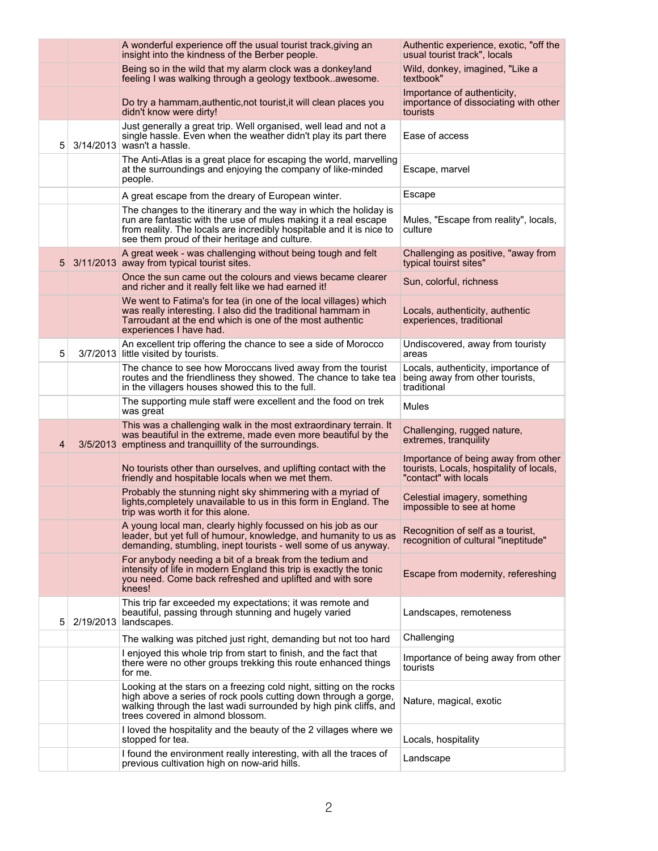|   | A wonderful experience off the usual tourist track, giving an<br>insight into the kindness of the Berber people.                                                                                                                                             | Authentic experience, exotic, "off the<br>usual tourist track", locals                                   |
|---|--------------------------------------------------------------------------------------------------------------------------------------------------------------------------------------------------------------------------------------------------------------|----------------------------------------------------------------------------------------------------------|
|   | Being so in the wild that my alarm clock was a donkey!and<br>feeling I was walking through a geology textbookawesome.                                                                                                                                        | Wild, donkey, imagined, "Like a<br>textbook"                                                             |
|   | Do try a hammam, authentic, not tourist, it will clean places you<br>didn't know were dirty!                                                                                                                                                                 | Importance of authenticity,<br>importance of dissociating with other<br>tourists                         |
| 5 | Just generally a great trip. Well organised, well lead and not a<br>single hassle. Even when the weather didn't play its part there<br>3/14/2013 wasn't a hassle.                                                                                            | Ease of access                                                                                           |
|   | The Anti-Atlas is a great place for escaping the world, marvelling<br>at the surroundings and enjoying the company of like-minded<br>people.                                                                                                                 | Escape, marvel                                                                                           |
|   | A great escape from the dreary of European winter.                                                                                                                                                                                                           | Escape                                                                                                   |
|   | The changes to the itinerary and the way in which the holiday is<br>run are fantastic with the use of mules making it a real escape<br>from reality. The locals are incredibly hospitable and it is nice to<br>see them proud of their heritage and culture. | Mules, "Escape from reality", locals,<br>culture                                                         |
| 5 | A great week - was challenging without being tough and felt<br>3/11/2013 away from typical tourist sites.                                                                                                                                                    | Challenging as positive, "away from<br>typical touirst sites"                                            |
|   | Once the sun came out the colours and views became clearer<br>and richer and it really felt like we had earned it!                                                                                                                                           | Sun, colorful, richness                                                                                  |
|   | We went to Fatima's for tea (in one of the local villages) which<br>was really interesting. I also did the traditional hammam in<br>Tarroudant at the end which is one of the most authentic<br>experiences I have had.                                      | Locals, authenticity, authentic<br>experiences, traditional                                              |
| 5 | An excellent trip offering the chance to see a side of Morocco<br>3/7/2013 little visited by tourists.                                                                                                                                                       | Undiscovered, away from touristy<br>areas                                                                |
|   | The chance to see how Moroccans lived away from the tourist<br>routes and the friendliness they showed. The chance to take tea<br>in the villagers houses showed this to the full.                                                                           | Locals, authenticity, importance of<br>being away from other tourists,<br>traditional                    |
|   | The supporting mule staff were excellent and the food on trek<br>was great                                                                                                                                                                                   | Mules                                                                                                    |
| 4 | This was a challenging walk in the most extraordinary terrain. It<br>was beautiful in the extreme, made even more beautiful by the<br>3/5/2013 emptiness and tranguillity of the surroundings.                                                               | Challenging, rugged nature,<br>extremes, tranquility                                                     |
|   | No tourists other than ourselves, and uplifting contact with the<br>friendly and hospitable locals when we met them.                                                                                                                                         | Importance of being away from other<br>tourists, Locals, hospitality of locals,<br>"contact" with locals |
|   | Probably the stunning night sky shimmering with a myriad of<br>lights, completely unavailable to us in this form in England. The<br>trip was worth it for this alone.                                                                                        | Celestial imagery, something<br>impossible to see at home                                                |
|   | A young local man, clearly highly focussed on his job as our<br>leader, but yet full of humour, knowledge, and humanity to us as<br>demanding, stumbling, inept tourists - well some of us anyway.                                                           | Recognition of self as a tourist,<br>recognition of cultural "ineptitude"                                |
|   | For anybody needing a bit of a break from the tedium and<br>intensity of life in modern England this trip is exactly the tonic<br>you need. Come back refreshed and uplifted and with sore<br>knees!                                                         | Escape from modernity, refereshing                                                                       |
| 5 | This trip far exceeded my expectations; it was remote and<br>beautiful, passing through stunning and hugely varied<br>2/19/2013   landscapes.                                                                                                                | Landscapes, remoteness                                                                                   |
|   | The walking was pitched just right, demanding but not too hard                                                                                                                                                                                               | Challenging                                                                                              |
|   | I enjoyed this whole trip from start to finish, and the fact that<br>there were no other groups trekking this route enhanced things<br>for me.                                                                                                               | Importance of being away from other<br>tourists                                                          |
|   | Looking at the stars on a freezing cold night, sitting on the rocks<br>high above a series of rock pools cutting down through a gorge,<br>walking through the last wadi surrounded by high pink cliffs, and<br>trees covered in almond blossom.              | Nature, magical, exotic                                                                                  |
|   | I loved the hospitality and the beauty of the 2 villages where we<br>stopped for tea.                                                                                                                                                                        | Locals, hospitality                                                                                      |
|   | I found the environment really interesting, with all the traces of<br>previous cultivation high on now-arid hills.                                                                                                                                           | Landscape                                                                                                |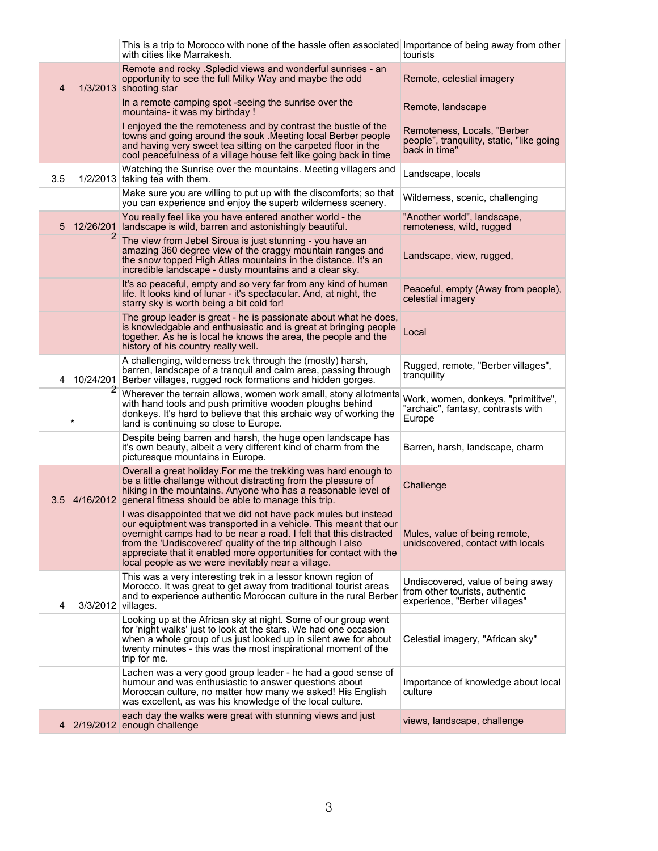|     |                         | This is a trip to Morocco with none of the hassle often associated Importance of being away from other<br>with cities like Marrakesh.                                                                                                                                                                                                                                                               | tourists                                                                                             |
|-----|-------------------------|-----------------------------------------------------------------------------------------------------------------------------------------------------------------------------------------------------------------------------------------------------------------------------------------------------------------------------------------------------------------------------------------------------|------------------------------------------------------------------------------------------------------|
| 4   |                         | Remote and rocky . Spledid views and wonderful sunrises - an<br>opportunity to see the full Milky Way and maybe the odd<br>1/3/2013 shooting star                                                                                                                                                                                                                                                   | Remote, celestial imagery                                                                            |
|     |                         | In a remote camping spot -seeing the sunrise over the<br>mountains- it was my birthday !                                                                                                                                                                                                                                                                                                            | Remote, landscape                                                                                    |
|     |                         | I enjoyed the the remoteness and by contrast the bustle of the<br>towns and going around the souk . Meeting local Berber people<br>and having very sweet tea sitting on the carpeted floor in the<br>cool peacefulness of a village house felt like going back in time                                                                                                                              | Remoteness, Locals, "Berber<br>people", tranquility, static, "like going<br>back in time"            |
| 3.5 |                         | Watching the Sunrise over the mountains. Meeting villagers and<br>$1/2/2013$ taking tea with them.                                                                                                                                                                                                                                                                                                  | Landscape, locals                                                                                    |
|     |                         | Make sure you are willing to put up with the discomforts; so that<br>you can experience and enjoy the superb wilderness scenery.                                                                                                                                                                                                                                                                    | Wilderness, scenic, challenging                                                                      |
| 5   |                         | You really feel like you have entered another world - the<br>12/26/201 landscape is wild, barren and astonishingly beautiful.                                                                                                                                                                                                                                                                       | "Another world", landscape,<br>remoteness, wild, rugged                                              |
|     | 2                       | The view from Jebel Siroua is just stunning - you have an<br>amazing 360 degree view of the craggy mountain ranges and<br>the snow topped High Atlas mountains in the distance. It's an<br>incredible landscape - dusty mountains and a clear sky.                                                                                                                                                  | Landscape, view, rugged,                                                                             |
|     |                         | It's so peaceful, empty and so very far from any kind of human<br>life. It looks kind of lunar - it's spectacular. And, at night, the<br>starry sky is worth being a bit cold for!                                                                                                                                                                                                                  | Peaceful, empty (Away from people),<br>celestial imagery                                             |
|     |                         | The group leader is great - he is passionate about what he does,<br>is knowledgable and enthusiastic and is great at bringing people<br>together. As he is local he knows the area, the people and the<br>history of his country really well.                                                                                                                                                       | Local                                                                                                |
| 4   | 10/24/201               | A challenging, wilderness trek through the (mostly) harsh,<br>barren, landscape of a tranquil and calm area, passing through<br>Berber villages, rugged rock formations and hidden gorges.                                                                                                                                                                                                          | Rugged, remote, "Berber villages",<br>tranquility                                                    |
|     | $\mathbf{z}$<br>$\star$ | Wherever the terrain allows, women work small, stony allotments<br>with hand tools and push primitive wooden ploughs behind<br>donkeys. It's hard to believe that this archaic way of working the<br>land is continuing so close to Europe.                                                                                                                                                         | Work, women, donkeys, "primititve",<br>"archaic", fantasy, contrasts with<br>Europe                  |
|     |                         | Despite being barren and harsh, the huge open landscape has<br>it's own beauty, albeit a very different kind of charm from the<br>picturesque mountains in Europe.                                                                                                                                                                                                                                  | Barren, harsh, landscape, charm                                                                      |
|     |                         | Overall a great holiday. For me the trekking was hard enough to<br>be a little challange without distracting from the pleasure of<br>hiking in the mountains. Anyone who has a reasonable level of<br>3.5 4/16/2012 general fitness should be able to manage this trip.                                                                                                                             | Challenge                                                                                            |
|     |                         | I was disappointed that we did not have pack mules but instead<br>our equiptment was transported in a vehicle. This meant that our<br>overnight camps had to be near a road. I felt that this distracted<br>from the 'Undiscovered' quality of the trip although I also<br>appreciate that it enabled more opportunities for contact with the<br>local people as we were inevitably near a village. | Mules, value of being remote,<br>unidscovered, contact with locals                                   |
| 4   | 3/3/2012 villages.      | This was a very interesting trek in a lessor known region of<br>Morocco. It was great to get away from traditional tourist areas<br>and to experience authentic Moroccan culture in the rural Berber                                                                                                                                                                                                | Undiscovered, value of being away<br>from other tourists, authentic<br>experience, "Berber villages" |
|     |                         | Looking up at the African sky at night. Some of our group went<br>for 'night walks' just to look at the stars. We had one occasion<br>when a whole group of us just looked up in silent awe for about<br>twenty minutes - this was the most inspirational moment of the<br>trip for me.                                                                                                             | Celestial imagery, "African sky"                                                                     |
|     |                         | Lachen was a very good group leader - he had a good sense of<br>humour and was enthusiastic to answer questions about<br>Moroccan culture, no matter how many we asked! His English<br>was excellent, as was his knowledge of the local culture.                                                                                                                                                    | Importance of knowledge about local<br>culture                                                       |
|     |                         | each day the walks were great with stunning views and just<br>4 2/19/2012 enough challenge                                                                                                                                                                                                                                                                                                          | views, landscape, challenge                                                                          |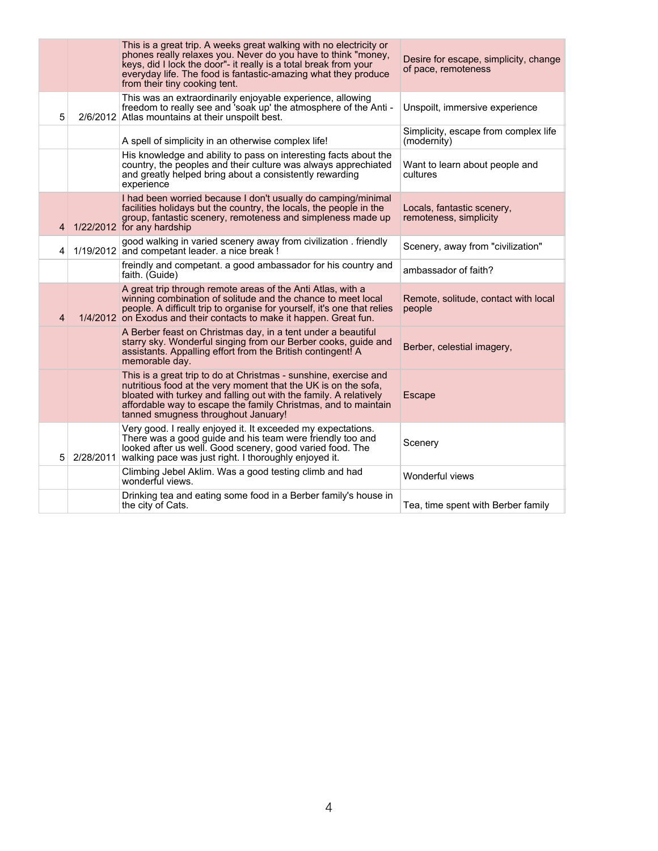|   | This is a great trip. A weeks great walking with no electricity or<br>phones really relaxes you. Never do you have to think "money,<br>keys, did I lock the door"- it really is a total break from your<br>everyday life. The food is fantastic-amazing what they produce<br>from their tiny cooking tent.       | Desire for escape, simplicity, change<br>of pace, remoteness |
|---|------------------------------------------------------------------------------------------------------------------------------------------------------------------------------------------------------------------------------------------------------------------------------------------------------------------|--------------------------------------------------------------|
| 5 | This was an extraordinarily enjoyable experience, allowing<br>freedom to really see and 'soak up' the atmosphere of the Anti -<br>2/6/2012 Atlas mountains at their unspoilt best.                                                                                                                               | Unspoilt, immersive experience                               |
|   | A spell of simplicity in an otherwise complex life!                                                                                                                                                                                                                                                              | Simplicity, escape from complex life<br>(modernity)          |
|   | His knowledge and ability to pass on interesting facts about the<br>country, the peoples and their culture was always apprechiated<br>and greatly helped bring about a consistently rewarding<br>experience                                                                                                      | Want to learn about people and<br>cultures                   |
| 4 | I had been worried because I don't usually do camping/minimal<br>facilities holidays but the country, the locals, the people in the<br>group, fantastic scenery, remoteness and simpleness made up<br>1/22/2012 for any hardship                                                                                 | Locals, fantastic scenery,<br>remoteness, simplicity         |
| 4 | good walking in varied scenery away from civilization. friendly<br>1/19/2012 and competant leader. a nice break !                                                                                                                                                                                                | Scenery, away from "civilization"                            |
|   | freindly and competant. a good ambassador for his country and<br>faith. (Guide)                                                                                                                                                                                                                                  | ambassador of faith?                                         |
| 4 | A great trip through remote areas of the Anti Atlas, with a<br>winning combination of solitude and the chance to meet local<br>people. A difficult trip to organise for yourself, it's one that relies<br>1/4/2012 on Exodus and their contacts to make it happen. Great fun.                                    | Remote, solitude, contact with local<br>people               |
|   | A Berber feast on Christmas day, in a tent under a beautiful<br>starry sky. Wonderful singing from our Berber cooks, guide and<br>assistants. Appalling effort from the British contingent! A<br>memorable day.                                                                                                  | Berber, celestial imagery,                                   |
|   | This is a great trip to do at Christmas - sunshine, exercise and<br>nutritious food at the very moment that the UK is on the sofa,<br>bloated with turkey and falling out with the family. A relatively<br>affordable way to escape the family Christmas, and to maintain<br>tanned smugness throughout January! | Escape                                                       |
| 5 | Very good. I really enjoyed it. It exceeded my expectations.<br>There was a good guide and his team were friendly too and<br>looked after us well. Good scenery, good varied food. The<br>2/28/2011 walking pace was just right. I thoroughly enjoyed it.                                                        | Scenery                                                      |
|   | Climbing Jebel Aklim. Was a good testing climb and had<br>wonderful views.                                                                                                                                                                                                                                       | Wonderful views                                              |
|   | Drinking tea and eating some food in a Berber family's house in<br>the city of Cats.                                                                                                                                                                                                                             | Tea, time spent with Berber family                           |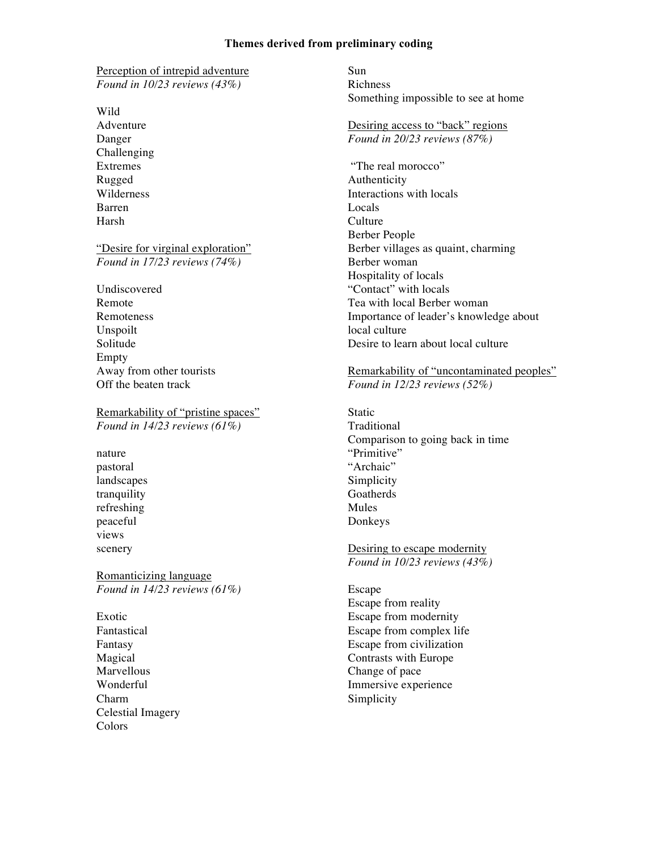## **Themes derived from preliminary coding**

Perception of intrepid adventure *Found in 10/23 reviews (43%)*

Wild

Adventure Danger Challenging Extremes Rugged Wilderness Barren Harsh

"Desire for virginal exploration" *Found in 17/23 reviews (74%)*

Undiscovered Remote Remoteness Unspoilt Solitude Empty Away from other tourists Off the beaten track

Remarkability of "pristine spaces" *Found in 14/23 reviews (61%)*

nature pastoral landscapes tranquility refreshing peaceful views scenery

Romanticizing language *Found in 14/23 reviews (61%)*

Exotic Fantastical Fantasy Magical Marvellous Wonderful Charm Celestial Imagery Colors

Sun Richness Something impossible to see at home

Desiring access to "back" regions *Found in 20/23 reviews (87%)*

"The real morocco" Authenticity Interactions with locals Locals **Culture** Berber People Berber villages as quaint, charming Berber woman Hospitality of locals "Contact" with locals Tea with local Berber woman Importance of leader's knowledge about local culture Desire to learn about local culture

## Remarkability of "uncontaminated peoples" *Found in 12/23 reviews (52%)*

**Static** Traditional Comparison to going back in time "Primitive" "Archaic" Simplicity Goatherds Mules Donkeys

Desiring to escape modernity *Found in 10/23 reviews (43%)*

Escape Escape from reality Escape from modernity Escape from complex life Escape from civilization Contrasts with Europe Change of pace Immersive experience Simplicity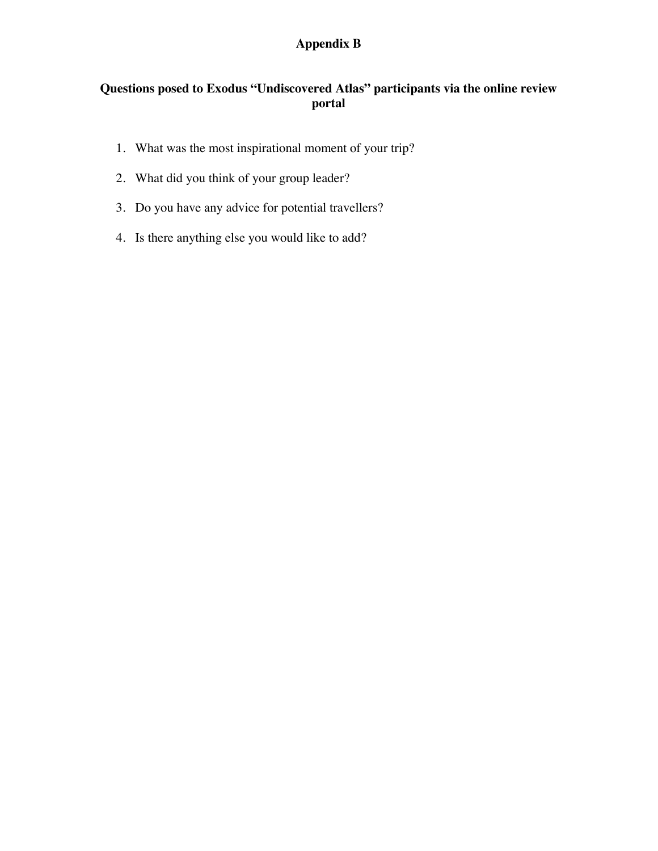## **Appendix B**

## **Questions posed to Exodus "Undiscovered Atlas" participants via the online review portal**

- 1. What was the most inspirational moment of your trip?
- 2. What did you think of your group leader?
- 3. Do you have any advice for potential travellers?
- 4. Is there anything else you would like to add?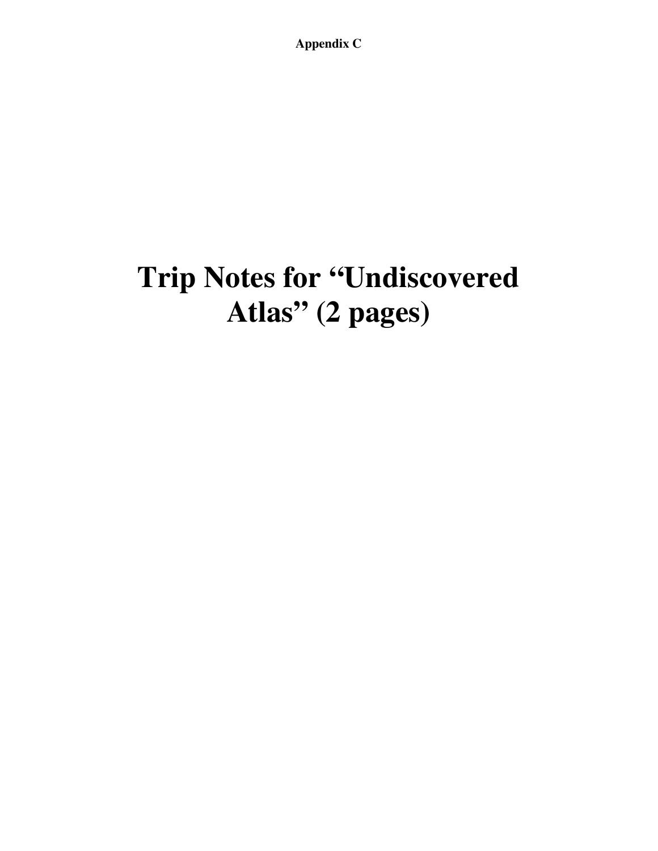**Appendix C**

# **Trip Notes for "Undiscovered Atlas" (2 pages)**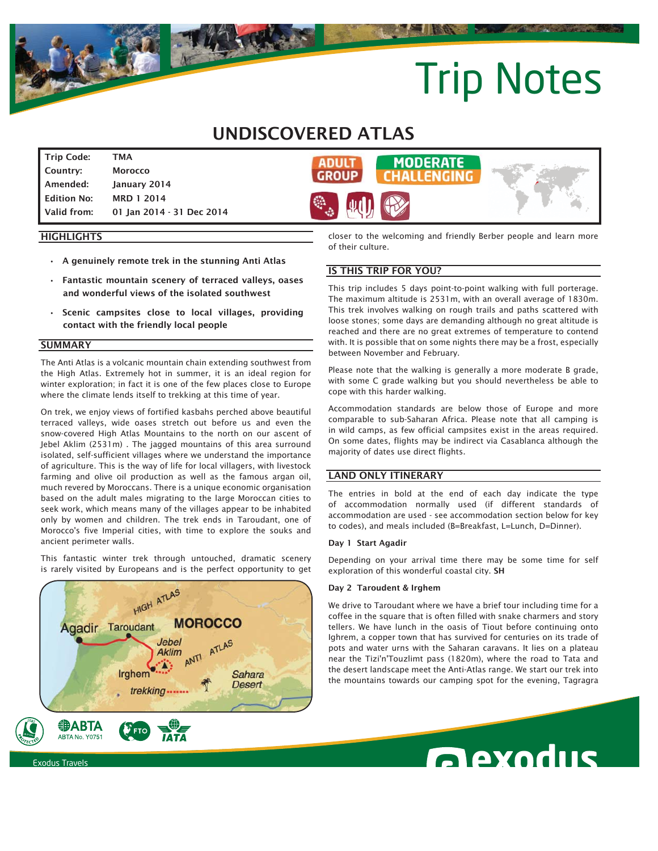# Trip Notes

## UNDISCOVERED ATLAS

Trip Code: TMA Country: Morocco Amended: January 2014 Edition No: MRD 1 2014 Valid from: 01 Jan 2014 - 31 Dec 2014



### **HIGHLIGHTS**

- A genuinely remote trek in the stunning Anti Atlas
- Fantastic mountain scenery of terraced valleys, oases and wonderful views of the isolated southwest
- Scenic campsites close to local villages, providing contact with the friendly local people

### **SUMMARY**

The Anti Atlas is a volcanic mountain chain extending southwest from the High Atlas. Extremely hot in summer, it is an ideal region for winter exploration; in fact it is one of the few places close to Europe where the climate lends itself to trekking at this time of year.

On trek, we enjoy views of fortified kasbahs perched above beautiful terraced valleys, wide oases stretch out before us and even the snow-covered High Atlas Mountains to the north on our ascent of Jebel Aklim (2531m) . The jagged mountains of this area surround isolated, self-sufficient villages where we understand the importance of agriculture. This is the way of life for local villagers, with livestock farming and olive oil production as well as the famous argan oil, much revered by Moroccans. There is a unique economic organisation based on the adult males migrating to the large Moroccan cities to seek work, which means many of the villages appear to be inhabited only by women and children. The trek ends in Taroudant, one of Morocco's five Imperial cities, with time to explore the souks and ancient perimeter walls.

This fantastic winter trek through untouched, dramatic scenery is rarely visited by Europeans and is the perfect opportunity to get



closer to the welcoming and friendly Berber people and learn more of their culture.

### IS THIS TRIP FOR YOU?

This trip includes 5 days point-to-point walking with full porterage. The maximum altitude is 2531m, with an overall average of 1830m. This trek involves walking on rough trails and paths scattered with loose stones; some days are demanding although no great altitude is reached and there are no great extremes of temperature to contend with. It is possible that on some nights there may be a frost, especially between November and February.

Please note that the walking is generally a more moderate B grade, with some C grade walking but you should nevertheless be able to cope with this harder walking.

Accommodation standards are below those of Europe and more comparable to sub-Saharan Africa. Please note that all camping is in wild camps, as few official campsites exist in the areas required. On some dates, flights may be indirect via Casablanca although the majority of dates use direct flights.

### LAND ONLY ITINERARY

The entries in bold at the end of each day indicate the type of accommodation normally used (if different standards of accommodation are used - see accommodation section below for key to codes), and meals included (B=Breakfast, L=Lunch, D=Dinner).

#### Day 1 Start Agadir

Depending on your arrival time there may be some time for self exploration of this wonderful coastal city. SH

### Day 2 Taroudent & Irghem

We drive to Taroudant where we have a brief tour including time for a coffee in the square that is often filled with snake charmers and story tellers. We have lunch in the oasis of Tiout before continuing onto Ighrem, a copper town that has survived for centuries on its trade of pots and water urns with the Saharan caravans. It lies on a plateau near the Tizi'n'Touzlimt pass (1820m), where the road to Tata and the desert landscape meet the Anti-Atlas range. We start our trek into the mountains towards our camping spot for the evening, Tagragra

**Rexodus**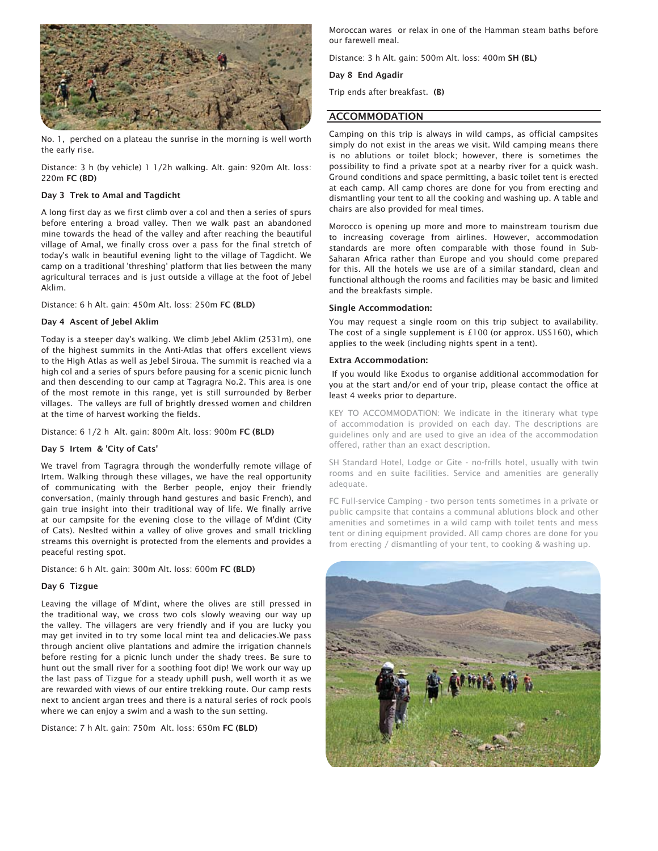

No. 1, perched on a plateau the sunrise in the morning is well worth the early rise.

Distance: 3 h (by vehicle) 1 1/2h walking. Alt. gain: 920m Alt. loss: 220m FC (BD)

### Day 3 Trek to Amal and Tagdicht

A long first day as we first climb over a col and then a series of spurs before entering a broad valley. Then we walk past an abandoned mine towards the head of the valley and after reaching the beautiful village of Amal, we finally cross over a pass for the final stretch of today's walk in beautiful evening light to the village of Tagdicht. We camp on a traditional 'threshing' platform that lies between the many agricultural terraces and is just outside a village at the foot of Jebel Aklim.

Distance: 6 h Alt. gain: 450m Alt. loss: 250m FC (BLD)

### Day 4 Ascent of Jebel Aklim

Today is a steeper day's walking. We climb Jebel Aklim (2531m), one of the highest summits in the Anti-Atlas that offers excellent views to the High Atlas as well as Jebel Siroua. The summit is reached via a high col and a series of spurs before pausing for a scenic picnic lunch and then descending to our camp at Tagragra No.2. This area is one of the most remote in this range, yet is still surrounded by Berber villages. The valleys are full of brightly dressed women and children at the time of harvest working the fields.

Distance: 6 1/2 h Alt. gain: 800m Alt. loss: 900m FC (BLD)

#### Day 5 Irtem & 'City of Cats'

We travel from Tagragra through the wonderfully remote village of Irtem. Walking through these villages, we have the real opportunity of communicating with the Berber people, enjoy their friendly conversation, (mainly through hand gestures and basic French), and gain true insight into their traditional way of life. We finally arrive at our campsite for the evening close to the village of M'dint (City of Cats). Neslted within a valley of olive groves and small trickling streams this overnight is protected from the elements and provides a peaceful resting spot.

Distance: 6 h Alt. gain: 300m Alt. loss: 600m FC (BLD)

### Day 6 Tizgue

Leaving the village of M'dint, where the olives are still pressed in the traditional way, we cross two cols slowly weaving our way up the valley. The villagers are very friendly and if you are lucky you may get invited in to try some local mint tea and delicacies.We pass through ancient olive plantations and admire the irrigation channels before resting for a picnic lunch under the shady trees. Be sure to hunt out the small river for a soothing foot dip! We work our way up the last pass of Tizgue for a steady uphill push, well worth it as we are rewarded with views of our entire trekking route. Our camp rests next to ancient argan trees and there is a natural series of rock pools where we can enjoy a swim and a wash to the sun setting.

Distance: 7 h Alt. gain: 750m Alt. loss: 650m FC (BLD)

Moroccan wares or relax in one of the Hamman steam baths before our farewell meal.

Distance: 3 h Alt. gain: 500m Alt. loss: 400m SH (BL)

### Day 8 End Agadir

Trip ends after breakfast. (B)

### ACCOMMODATION

Camping on this trip is always in wild camps, as official campsites simply do not exist in the areas we visit. Wild camping means there is no ablutions or toilet block; however, there is sometimes the possibility to find a private spot at a nearby river for a quick wash. Ground conditions and space permitting, a basic toilet tent is erected at each camp. All camp chores are done for you from erecting and dismantling your tent to all the cooking and washing up. A table and chairs are also provided for meal times.

Morocco is opening up more and more to mainstream tourism due to increasing coverage from airlines. However, accommodation standards are more often comparable with those found in Sub-Saharan Africa rather than Europe and you should come prepared for this. All the hotels we use are of a similar standard, clean and functional although the rooms and facilities may be basic and limited and the breakfasts simple.

### Single Accommodation:

You may request a single room on this trip subject to availability. The cost of a single supplement is £100 (or approx. US\$160), which applies to the week (including nights spent in a tent).

### Extra Accommodation:

 If you would like Exodus to organise additional accommodation for you at the start and/or end of your trip, please contact the office at least 4 weeks prior to departure.

KEY TO ACCOMMODATION: We indicate in the itinerary what type of accommodation is provided on each day. The descriptions are guidelines only and are used to give an idea of the accommodation offered, rather than an exact description.

SH Standard Hotel, Lodge or Gite - no-frills hotel, usually with twin rooms and en suite facilities. Service and amenities are generally adequate.

FC Full-service Camping - two person tents sometimes in a private or public campsite that contains a communal ablutions block and other amenities and sometimes in a wild camp with toilet tents and mess tent or dining equipment provided. All camp chores are done for you from erecting / dismantling of your tent, to cooking & washing up.

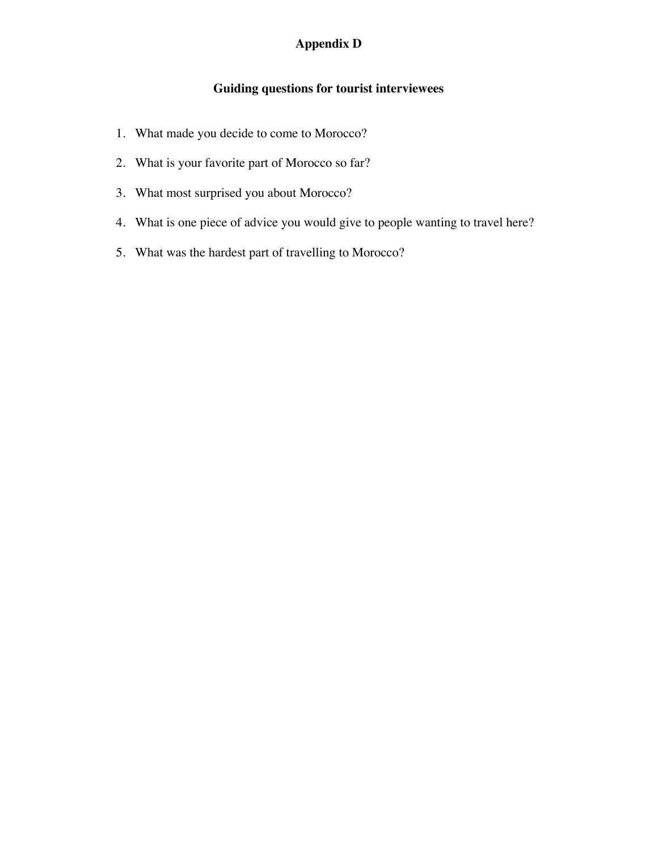## **Appendix D**

## **Guiding questions for tourist interviewees**

- 1. What made you decide to come to Morocco?
- 2. What is your favorite part of Morocco so far?
- 3. What most surprised you about Morocco?
- 4. What is one piece of advice you would give to people wanting to travel here?
- 5. What was the hardest part of travelling to Morocco?